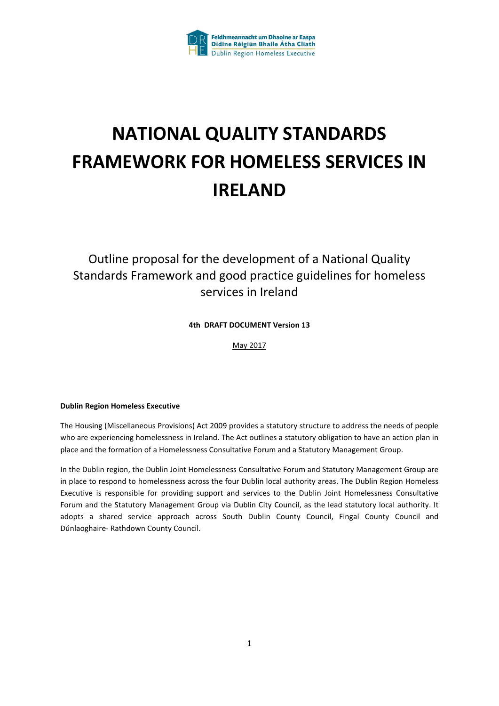

### **NATIONAL QUALITY STANDARDS FRAMEWORK FOR HOMELESS SERVICES IN IRELAND**

### Outline proposal for the development of a National Quality Standards Framework and good practice guidelines for homeless services in Ireland

#### **4th DRAFT DOCUMENT Version 13**

May 2017

#### **Dublin Region Homeless Executive**

The Housing (Miscellaneous Provisions) Act 2009 provides a statutory structure to address the needs of people who are experiencing homelessness in Ireland. The Act outlines a statutory obligation to have an action plan in place and the formation of a Homelessness Consultative Forum and a Statutory Management Group.

In the Dublin region, the Dublin Joint Homelessness Consultative Forum and Statutory Management Group are in place to respond to homelessness across the four Dublin local authority areas. The Dublin Region Homeless Executive is responsible for providing support and services to the Dublin Joint Homelessness Consultative Forum and the Statutory Management Group via Dublin City Council, as the lead statutory local authority. It adopts a shared service approach across South Dublin County Council, Fingal County Council and Dúnlaoghaire- Rathdown County Council.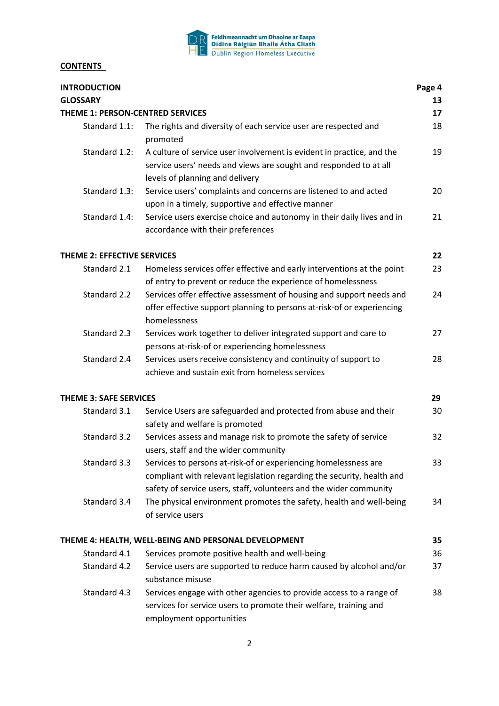

#### **CONTENTS**

| <b>INTRODUCTION</b>              |                                                                                                                                                                                                                 | Page 4 |
|----------------------------------|-----------------------------------------------------------------------------------------------------------------------------------------------------------------------------------------------------------------|--------|
| <b>GLOSSARY</b>                  |                                                                                                                                                                                                                 | 13     |
| THEME 1: PERSON-CENTRED SERVICES |                                                                                                                                                                                                                 | 17     |
| Standard 1.1:                    | The rights and diversity of each service user are respected and<br>promoted                                                                                                                                     | 18     |
| Standard 1.2:                    | A culture of service user involvement is evident in practice, and the<br>service users' needs and views are sought and responded to at all<br>levels of planning and delivery                                   | 19     |
| Standard 1.3:                    | Service users' complaints and concerns are listened to and acted<br>upon in a timely, supportive and effective manner                                                                                           | 20     |
| Standard 1.4:                    | Service users exercise choice and autonomy in their daily lives and in<br>accordance with their preferences                                                                                                     | 21     |
| THEME 2: EFFECTIVE SERVICES      |                                                                                                                                                                                                                 | 22     |
| Standard 2.1                     | Homeless services offer effective and early interventions at the point<br>of entry to prevent or reduce the experience of homelessness                                                                          | 23     |
| Standard 2.2                     | Services offer effective assessment of housing and support needs and<br>offer effective support planning to persons at-risk-of or experiencing<br>homelessness                                                  | 24     |
| Standard 2.3                     | Services work together to deliver integrated support and care to<br>persons at-risk-of or experiencing homelessness                                                                                             | 27     |
| Standard 2.4                     | Services users receive consistency and continuity of support to<br>achieve and sustain exit from homeless services                                                                                              | 28     |
| <b>THEME 3: SAFE SERVICES</b>    |                                                                                                                                                                                                                 | 29     |
| Standard 3.1                     | Service Users are safeguarded and protected from abuse and their<br>safety and welfare is promoted                                                                                                              | 30     |
| Standard 3.2                     | Services assess and manage risk to promote the safety of service<br>users, staff and the wider community                                                                                                        | 32     |
| Standard 3.3                     | Services to persons at-risk-of or experiencing homelessness are<br>compliant with relevant legislation regarding the security, health and<br>safety of service users, staff, volunteers and the wider community | 33     |
| Standard 3.4                     | The physical environment promotes the safety, health and well-being<br>of service users                                                                                                                         | 34     |
|                                  | THEME 4: HEALTH, WELL-BEING AND PERSONAL DEVELOPMENT                                                                                                                                                            | 35     |
| Standard 4.1                     | Services promote positive health and well-being                                                                                                                                                                 | 36     |
| Standard 4.2                     | Service users are supported to reduce harm caused by alcohol and/or<br>substance misuse                                                                                                                         | 37     |
| Standard 4.3                     | Services engage with other agencies to provide access to a range of<br>services for service users to promote their welfare, training and<br>employment opportunities                                            | 38     |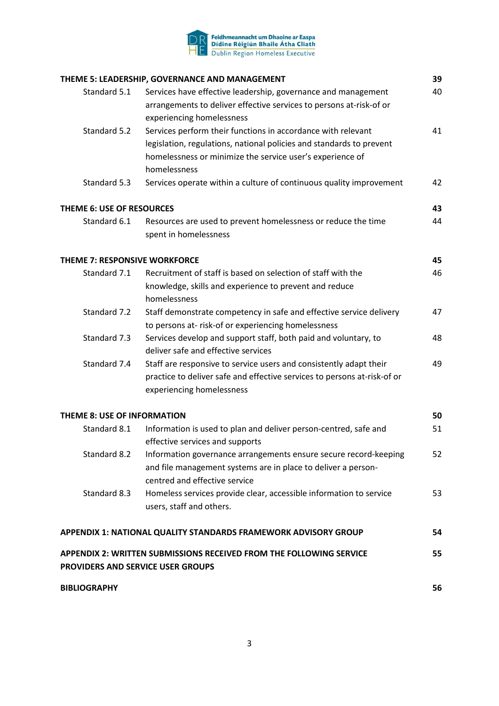

|                                      | THEME 5: LEADERSHIP, GOVERNANCE AND MANAGEMENT                                                                                       | 39 |
|--------------------------------------|--------------------------------------------------------------------------------------------------------------------------------------|----|
| Standard 5.1                         | Services have effective leadership, governance and management<br>arrangements to deliver effective services to persons at-risk-of or | 40 |
|                                      | experiencing homelessness                                                                                                            |    |
| Standard 5.2                         | Services perform their functions in accordance with relevant                                                                         | 41 |
|                                      | legislation, regulations, national policies and standards to prevent                                                                 |    |
|                                      | homelessness or minimize the service user's experience of                                                                            |    |
|                                      | homelessness                                                                                                                         |    |
| Standard 5.3                         | Services operate within a culture of continuous quality improvement                                                                  | 42 |
| THEME 6: USE OF RESOURCES            |                                                                                                                                      | 43 |
| Standard 6.1                         | Resources are used to prevent homelessness or reduce the time                                                                        | 44 |
|                                      | spent in homelessness                                                                                                                |    |
| <b>THEME 7: RESPONSIVE WORKFORCE</b> |                                                                                                                                      | 45 |
| Standard 7.1                         | Recruitment of staff is based on selection of staff with the                                                                         | 46 |
|                                      | knowledge, skills and experience to prevent and reduce                                                                               |    |
|                                      | homelessness                                                                                                                         |    |
| Standard 7.2                         | Staff demonstrate competency in safe and effective service delivery                                                                  | 47 |
|                                      | to persons at-risk-of or experiencing homelessness                                                                                   |    |
| Standard 7.3                         | Services develop and support staff, both paid and voluntary, to                                                                      | 48 |
|                                      | deliver safe and effective services                                                                                                  |    |
| Standard 7.4                         | Staff are responsive to service users and consistently adapt their                                                                   | 49 |
|                                      | practice to deliver safe and effective services to persons at-risk-of or                                                             |    |
|                                      | experiencing homelessness                                                                                                            |    |
| <b>THEME 8: USE OF INFORMATION</b>   |                                                                                                                                      | 50 |
| Standard 8.1                         | Information is used to plan and deliver person-centred, safe and                                                                     | 51 |
|                                      | effective services and supports                                                                                                      |    |
| Standard 8.2                         | Information governance arrangements ensure secure record-keeping                                                                     | 52 |
|                                      | and file management systems are in place to deliver a person-                                                                        |    |
|                                      | centred and effective service                                                                                                        |    |
| Standard 8.3                         | Homeless services provide clear, accessible information to service                                                                   | 53 |
|                                      | users, staff and others.                                                                                                             |    |
|                                      | APPENDIX 1: NATIONAL QUALITY STANDARDS FRAMEWORK ADVISORY GROUP                                                                      | 54 |
|                                      | APPENDIX 2: WRITTEN SUBMISSIONS RECEIVED FROM THE FOLLOWING SERVICE<br>PROVIDERS AND SERVICE USER GROUPS                             | 55 |
| <b>BIBLIOGRAPHY</b>                  |                                                                                                                                      | 56 |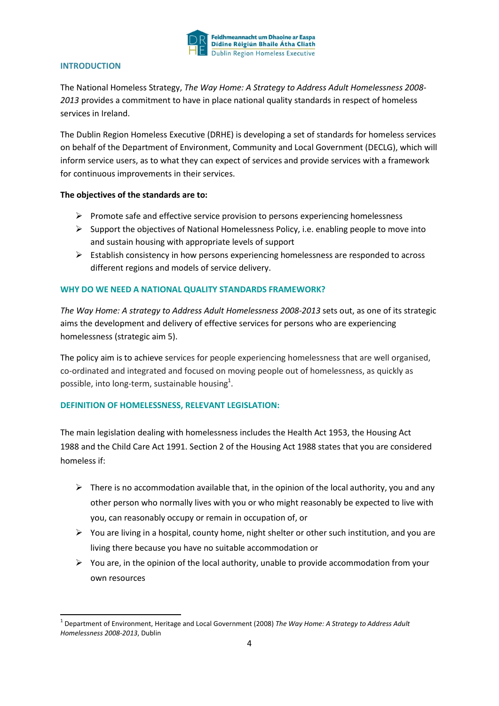

#### **INTRODUCTION**

The National Homeless Strategy, *The Way Home: A Strategy to Address Adult Homelessness 2008- 2013* provides a commitment to have in place national quality standards in respect of homeless services in Ireland.

The Dublin Region Homeless Executive (DRHE) is developing a set of standards for homeless services on behalf of the Department of Environment, Community and Local Government (DECLG), which will inform service users, as to what they can expect of services and provide services with a framework for continuous improvements in their services.

#### **The objectives of the standards are to:**

- $\triangleright$  Promote safe and effective service provision to persons experiencing homelessness
- $\triangleright$  Support the objectives of National Homelessness Policy, i.e. enabling people to move into and sustain housing with appropriate levels of support
- $\triangleright$  Establish consistency in how persons experiencing homelessness are responded to across different regions and models of service delivery.

#### **WHY DO WE NEED A NATIONAL QUALITY STANDARDS FRAMEWORK?**

*The Way Home: A strategy to Address Adult Homelessness 2008-2013* sets out, as one of its strategic aims the development and delivery of effective services for persons who are experiencing homelessness (strategic aim 5).

The policy aim is to achieve services for people experiencing homelessness that are well organised, co-ordinated and integrated and focused on moving people out of homelessness, as quickly as possible, into long-term, sustainable housing $^{1}$ .

#### **DEFINITION OF HOMELESSNESS, RELEVANT LEGISLATION:**

The main legislation dealing with homelessness includes the [Health Act 1953](http://www.irishstatutebook.ie/1953/en/act/pub/0026/index.html), the [Housing Act](http://www.irishstatutebook.ie/1988/en/act/pub/0028/index.html)  [1988](http://www.irishstatutebook.ie/1988/en/act/pub/0028/index.html) and the [Child Care Act 1991](http://www.irishstatutebook.ie/1991/en/act/pub/0017/index.html). [Section 2 of the Housing Act 1988](http://www.irishstatutebook.ie/1988/en/act/pub/0028/sec0002.html) states that you are considered homeless if:

- $\triangleright$  There is no accommodation available that, in the opinion of the local authority, you and any other person who normally lives with you or who might reasonably be expected to live with you, can reasonably occupy or remain in occupation of, or
- $\triangleright$  You are living in a hospital, county home, night shelter or other such institution, and you are living there because you have no suitable accommodation or
- $\triangleright$  You are, in the opinion of the local authority, unable to provide accommodation from your own resources

 <sup>1</sup> Department of Environment, Heritage and Local Government (2008) *The Way Home: A Strategy to Address Adult Homelessness 2008-2013*, Dublin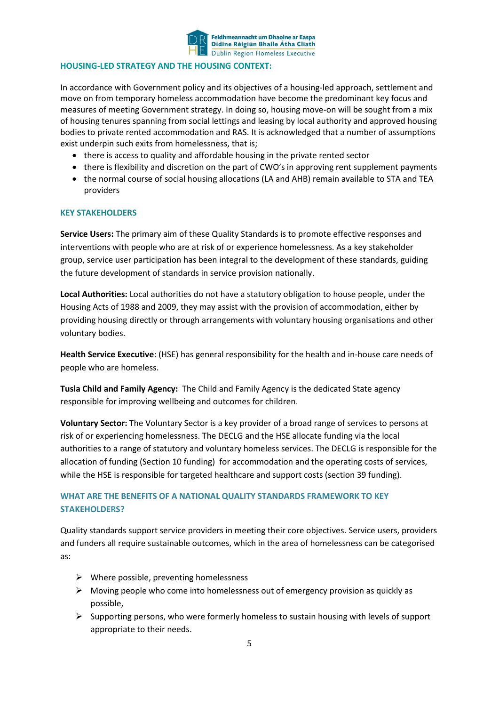

#### **HOUSING-LED STRATEGY AND THE HOUSING CONTEXT:**

In accordance with Government policy and its objectives of a housing-led approach, settlement and move on from temporary homeless accommodation have become the predominant key focus and measures of meeting Government strategy. In doing so, housing move-on will be sought from a mix of housing tenures spanning from social lettings and leasing by local authority and approved housing bodies to private rented accommodation and RAS. It is acknowledged that a number of assumptions exist underpin such exits from homelessness, that is:

- there is access to quality and affordable housing in the private rented sector
- there is flexibility and discretion on the part of CWO's in approving rent supplement payments
- the normal course of social housing allocations (LA and AHB) remain available to STA and TEA providers

#### **KEY STAKEHOLDERS**

**Service Users:** The primary aim of these Quality Standards is to promote effective responses and interventions with people who are at risk of or experience homelessness. As a key stakeholder group, service user participation has been integral to the development of these standards, guiding the future development of standards in service provision nationally.

**Local Authorities:** Local authorities do not have a statutory obligation to house people, under the Housing Acts of 1988 and 2009, they may assist with the provision of accommodation, either by providing housing directly or through arrangements with voluntary housing organisations and other voluntary bodies.

**[Health Service Executive](http://www.hse.ie/eng/)**: (HSE) has general responsibility for the health and in-house care needs of people who are homeless.

**Tusla Child and Family Agency:** The Child and Family Agency is the dedicated State agency responsible for improving wellbeing and outcomes for children.

**Voluntary Sector:** The Voluntary Sector is a key provider of a broad range of services to persons at risk of or experiencing homelessness. The DECLG and the HSE allocate funding via the local authorities to a range of statutory and voluntary homeless services. The DECLG is responsible for the allocation of funding (Section 10 funding) for accommodation and the operating costs of services, while the HSE is responsible for targeted healthcare and support costs (section 39 funding).

#### **WHAT ARE THE BENEFITS OF A NATIONAL QUALITY STANDARDS FRAMEWORK TO KEY STAKEHOLDERS?**

Quality standards support service providers in meeting their core objectives. Service users, providers and funders all require sustainable outcomes, which in the area of homelessness can be categorised as:

- $\triangleright$  Where possible, preventing homelessness
- $\triangleright$  Moving people who come into homelessness out of emergency provision as quickly as possible,
- $\triangleright$  Supporting persons, who were formerly homeless to sustain housing with levels of support appropriate to their needs.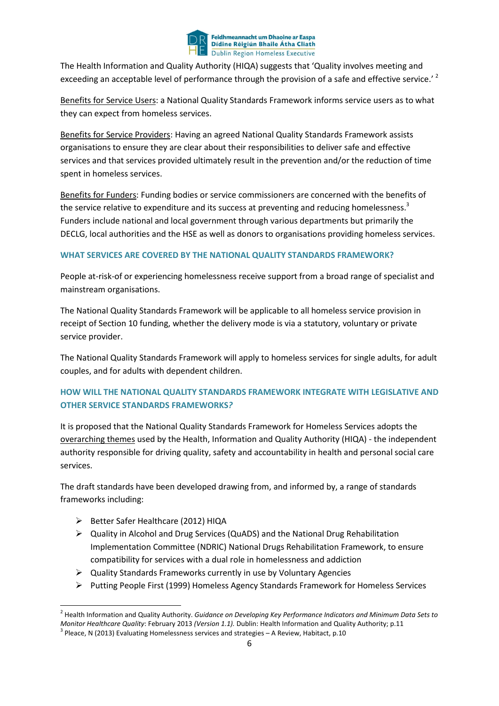

The Health Information and Quality Authority (HIQA) suggests that 'Quality involves meeting and exceeding an acceptable level of performance through the provision of a safe and effective service.<sup>' 2</sup>

Benefits for Service Users: a National Quality Standards Framework informs service users as to what they can expect from homeless services.

Benefits for Service Providers: Having an agreed National Quality Standards Framework assists organisations to ensure they are clear about their responsibilities to deliver safe and effective services and that services provided ultimately result in the prevention and/or the reduction of time spent in homeless services.

Benefits for Funders: Funding bodies or service commissioners are concerned with the benefits of the service relative to expenditure and its success at preventing and reducing homelessness.<sup>3</sup> Funders include national and local government through various departments but primarily the DECLG, local authorities and the HSE as well as donors to organisations providing homeless services.

#### **WHAT SERVICES ARE COVERED BY THE NATIONAL QUALITY STANDARDS FRAMEWORK?**

People at-risk-of or experiencing homelessness receive support from a broad range of specialist and mainstream organisations.

The National Quality Standards Framework will be applicable to all homeless service provision in receipt of Section 10 funding, whether the delivery mode is via a statutory, voluntary or private service provider.

The National Quality Standards Framework will apply to homeless services for single adults, for adult couples, and for adults with dependent children.

#### **HOW WILL THE NATIONAL QUALITY STANDARDS FRAMEWORK INTEGRATE WITH LEGISLATIVE AND OTHER SERVICE STANDARDS FRAMEWORKS***?*

It is proposed that the National Quality Standards Framework for Homeless Services adopts the overarching themes used by the Health, Information and Quality Authority (HIQA) - the independent authority responsible for driving quality, safety and accountability in health and personal social care services.

The draft standards have been developed drawing from, and informed by, a range of standards frameworks including:

- Better Safer Healthcare (2012) HIQA
- $\triangleright$  Quality in Alcohol and Drug Services (QuADS) and the National Drug Rehabilitation Implementation Committee (NDRIC) National Drugs Rehabilitation Framework, to ensure compatibility for services with a dual role in homelessness and addiction
- $\triangleright$  Quality Standards Frameworks currently in use by Voluntary Agencies
- $\triangleright$  Putting People First (1999) Homeless Agency Standards Framework for Homeless Services

 <sup>2</sup> Health Information and Quality Authority. *Guidance on Developing Key Performance Indicators and Minimum Data Sets to Monitor Healthcare Quality*: February 2013 *(Version 1.1).* Dublin: Health Information and Quality Authority; p.11 <sup>3</sup> Pleace, N (2013) Evaluating Homelessness services and strategies – A Review, Habitact, p.10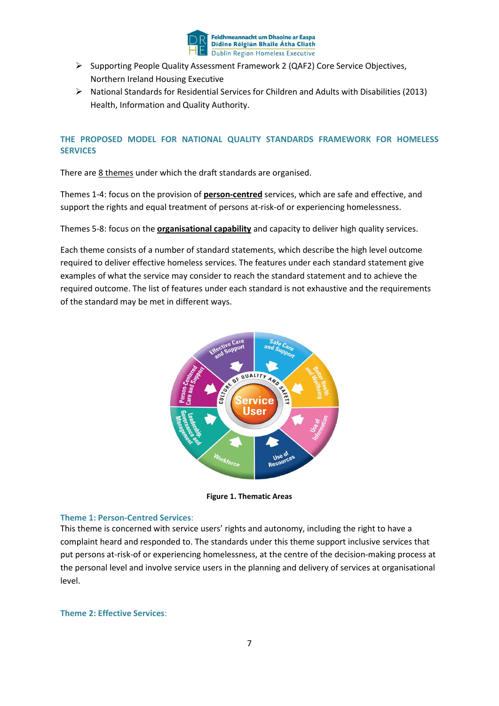

- $\triangleright$  Supporting People Quality Assessment Framework 2 (QAF2) Core Service Objectives, Northern Ireland Housing Executive
- $\triangleright$  National Standards for Residential Services for Children and Adults with Disabilities (2013) Health, Information and Quality Authority.

#### **THE PROPOSED MODEL FOR NATIONAL QUALITY STANDARDS FRAMEWORK FOR HOMELESS SERVICES**

There are 8 themes under which the draft standards are organised.

Themes 1-4: focus on the provision of **person-centred** services, which are safe and effective, and support the rights and equal treatment of persons at-risk-of or experiencing homelessness.

Themes 5-8: focus on the **organisational capability** and capacity to deliver high quality services.

Each theme consists of a number of standard statements, which describe the high level outcome required to deliver effective homeless services. The features under each standard statement give examples of what the service may consider to reach the standard statement and to achieve the required outcome. The list of features under each standard is not exhaustive and the requirements of the standard may be met in different ways.



**Figure 1. Thematic Areas**

#### **Theme 1: Person-Centred Services**:

This theme is concerned with service users' rights and autonomy, including the right to have a complaint heard and responded to. The standards under this theme support inclusive services that put persons at-risk-of or experiencing homelessness, at the centre of the decision-making process at the personal level and involve service users in the planning and delivery of services at organisational level.

#### **Theme 2: Effective Services**: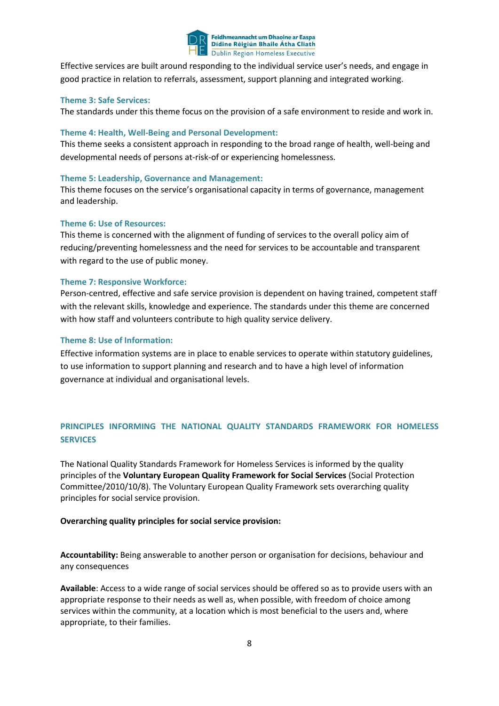

Effective services are built around responding to the individual service user's needs, and engage in good practice in relation to referrals, assessment, support planning and integrated working.

#### **Theme 3: Safe Services:**

The standards under this theme focus on the provision of a safe environment to reside and work in.

#### **Theme 4: Health, Well-Being and Personal Development:**

This theme seeks a consistent approach in responding to the broad range of health, well-being and developmental needs of persons at-risk-of or experiencing homelessness.

#### **Theme 5: Leadership, Governance and Management:**

This theme focuses on the service's organisational capacity in terms of governance, management and leadership.

#### **Theme 6: Use of Resources:**

This theme is concerned with the alignment of funding of services to the overall policy aim of reducing/preventing homelessness and the need for services to be accountable and transparent with regard to the use of public money.

#### **Theme 7: Responsive Workforce:**

Person-centred, effective and safe service provision is dependent on having trained, competent staff with the relevant skills, knowledge and experience. The standards under this theme are concerned with how staff and volunteers contribute to high quality service delivery.

#### **Theme 8: Use of Information:**

Effective information systems are in place to enable services to operate within statutory guidelines, to use information to support planning and research and to have a high level of information governance at individual and organisational levels.

#### **PRINCIPLES INFORMING THE NATIONAL QUALITY STANDARDS FRAMEWORK FOR HOMELESS SERVICES**

The National Quality Standards Framework for Homeless Services is informed by the quality principles of the **Voluntary European Quality Framework for Social Services** (Social Protection Committee/2010/10/8). The Voluntary European Quality Framework sets overarching quality principles for social service provision.

#### **Overarching quality principles for social service provision:**

**Accountability:** Being answerable to another person or organisation for decisions, behaviour and any consequences

**Available**: Access to a wide range of social services should be offered so as to provide users with an appropriate response to their needs as well as, when possible, with freedom of choice among services within the community, at a location which is most beneficial to the users and, where appropriate, to their families.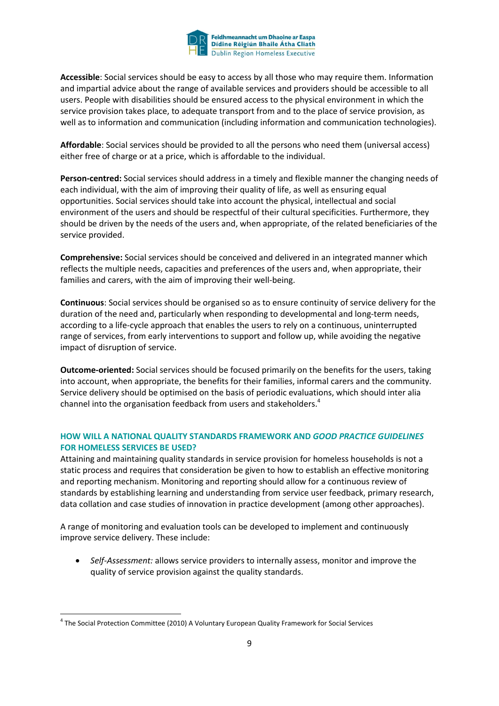

**Accessible**: Social services should be easy to access by all those who may require them. Information and impartial advice about the range of available services and providers should be accessible to all users. People with disabilities should be ensured access to the physical environment in which the service provision takes place, to adequate transport from and to the place of service provision, as well as to information and communication (including information and communication technologies).

**Affordable**: Social services should be provided to all the persons who need them (universal access) either free of charge or at a price, which is affordable to the individual.

**Person-centred:** Social services should address in a timely and flexible manner the changing needs of each individual, with the aim of improving their quality of life, as well as ensuring equal opportunities. Social services should take into account the physical, intellectual and social environment of the users and should be respectful of their cultural specificities. Furthermore, they should be driven by the needs of the users and, when appropriate, of the related beneficiaries of the service provided.

**Comprehensive:** Social services should be conceived and delivered in an integrated manner which reflects the multiple needs, capacities and preferences of the users and, when appropriate, their families and carers, with the aim of improving their well-being.

**Continuous**: Social services should be organised so as to ensure continuity of service delivery for the duration of the need and, particularly when responding to developmental and long-term needs, according to a life-cycle approach that enables the users to rely on a continuous, uninterrupted range of services, from early interventions to support and follow up, while avoiding the negative impact of disruption of service.

**Outcome-oriented:** Social services should be focused primarily on the benefits for the users, taking into account, when appropriate, the benefits for their families, informal carers and the community. Service delivery should be optimised on the basis of periodic evaluations, which should inter alia channel into the organisation feedback from users and stakeholders.<sup>4</sup>

#### **HOW WILL A NATIONAL QUALITY STANDARDS FRAMEWORK AND** *GOOD PRACTICE GUIDELINES*  **FOR HOMELESS SERVICES BE USED?**

Attaining and maintaining quality standards in service provision for homeless households is not a static process and requires that consideration be given to how to establish an effective monitoring and reporting mechanism. Monitoring and reporting should allow for a continuous review of standards by establishing learning and understanding from service user feedback, primary research, data collation and case studies of innovation in practice development (among other approaches).

A range of monitoring and evaluation tools can be developed to implement and continuously improve service delivery. These include:

 *Self-Assessment:* allows service providers to internally assess, monitor and improve the quality of service provision against the quality standards.

 <sup>4</sup> The Social Protection Committee (2010) A Voluntary European Quality Framework for Social Services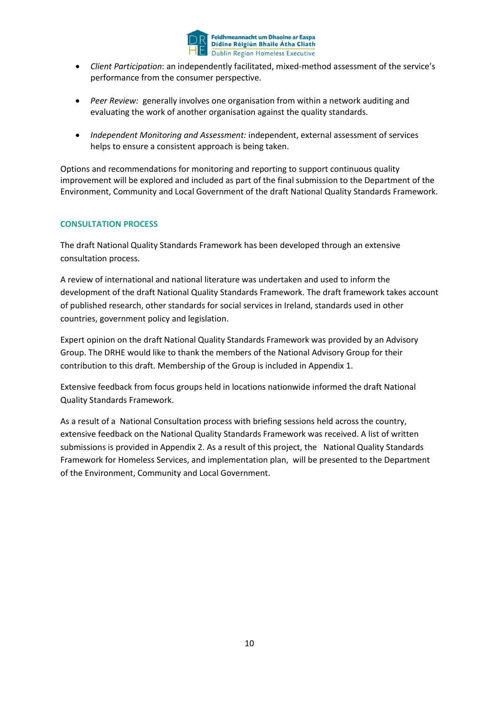

- *Client Participation*: an independently facilitated, mixed-method assessment of the service's performance from the consumer perspective.
- *Peer Review:* generally involves one organisation from within a network auditing and evaluating the work of another organisation against the quality standards.
- *Independent Monitoring and Assessment:* independent, external assessment of services helps to ensure a consistent approach is being taken.

Options and recommendations for monitoring and reporting to support continuous quality improvement will be explored and included as part of the final submission to the Department of the Environment, Community and Local Government of the draft National Quality Standards Framework.

#### **CONSULTATION PROCESS**

The draft National Quality Standards Framework has been developed through an extensive consultation process.

A review of international and national literature was undertaken and used to inform the development of the draft National Quality Standards Framework. The draft framework takes account of published research, other standards for social services in Ireland, standards used in other countries, government policy and legislation.

Expert opinion on the draft National Quality Standards Framework was provided by an Advisory Group. The DRHE would like to thank the members of the National Advisory Group for their contribution to this draft. Membership of the Group is included in Appendix 1.

Extensive feedback from focus groups held in locations nationwide informed the draft National Quality Standards Framework.

As a result of a National Consultation process with briefing sessions held across the country, extensive feedback on the National Quality Standards Framework was received. A list of written submissions is provided in Appendix 2. As a result of this project, the National Quality Standards Framework for Homeless Services, and implementation plan, will be presented to the Department of the Environment, Community and Local Government.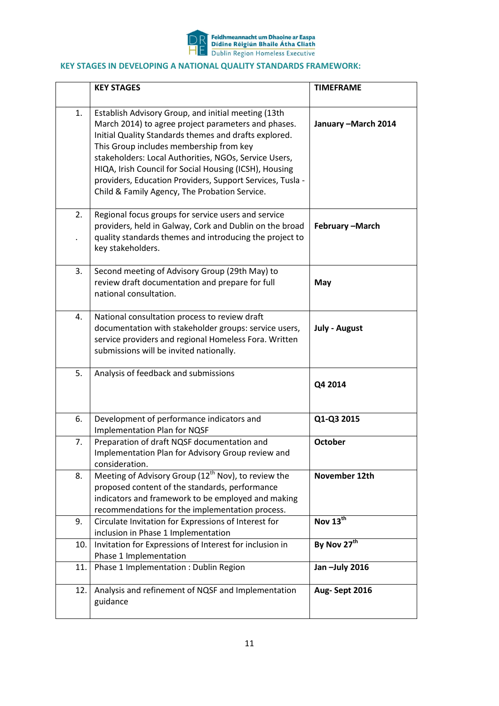

#### **KEY STAGES IN DEVELOPING A NATIONAL QUALITY STANDARDS FRAMEWORK:**

|     | <b>KEY STAGES</b>                                                                                                                                                                                                                                                                                                                                                                                                                               | <b>TIMEFRAME</b>     |
|-----|-------------------------------------------------------------------------------------------------------------------------------------------------------------------------------------------------------------------------------------------------------------------------------------------------------------------------------------------------------------------------------------------------------------------------------------------------|----------------------|
| 1.  | Establish Advisory Group, and initial meeting (13th<br>March 2014) to agree project parameters and phases.<br>Initial Quality Standards themes and drafts explored.<br>This Group includes membership from key<br>stakeholders: Local Authorities, NGOs, Service Users,<br>HIQA, Irish Council for Social Housing (ICSH), Housing<br>providers, Education Providers, Support Services, Tusla -<br>Child & Family Agency, The Probation Service. | January - March 2014 |
| 2.  | Regional focus groups for service users and service<br>providers, held in Galway, Cork and Dublin on the broad<br>quality standards themes and introducing the project to<br>key stakeholders.                                                                                                                                                                                                                                                  | February-March       |
| 3.  | Second meeting of Advisory Group (29th May) to<br>review draft documentation and prepare for full<br>national consultation.                                                                                                                                                                                                                                                                                                                     | May                  |
| 4.  | National consultation process to review draft<br>documentation with stakeholder groups: service users,<br>service providers and regional Homeless Fora. Written<br>submissions will be invited nationally.                                                                                                                                                                                                                                      | <b>July - August</b> |
| 5.  | Analysis of feedback and submissions                                                                                                                                                                                                                                                                                                                                                                                                            | Q4 2014              |
| 6.  | Development of performance indicators and<br>Implementation Plan for NQSF                                                                                                                                                                                                                                                                                                                                                                       | Q1-Q3 2015           |
| 7.  | Preparation of draft NQSF documentation and<br>Implementation Plan for Advisory Group review and<br>consideration.                                                                                                                                                                                                                                                                                                                              | <b>October</b>       |
| 8.  | Meeting of Advisory Group (12 <sup>th</sup> Nov), to review the<br>proposed content of the standards, performance<br>indicators and framework to be employed and making<br>recommendations for the implementation process.                                                                                                                                                                                                                      | November 12th        |
| 9.  | Circulate Invitation for Expressions of Interest for<br>inclusion in Phase 1 Implementation                                                                                                                                                                                                                                                                                                                                                     | Nov 13th             |
| 10. | Invitation for Expressions of Interest for inclusion in<br>Phase 1 Implementation                                                                                                                                                                                                                                                                                                                                                               | By Nov 27th          |
| 11. | Phase 1 Implementation : Dublin Region                                                                                                                                                                                                                                                                                                                                                                                                          | Jan -July 2016       |
| 12. | Analysis and refinement of NQSF and Implementation<br>guidance                                                                                                                                                                                                                                                                                                                                                                                  | Aug-Sept 2016        |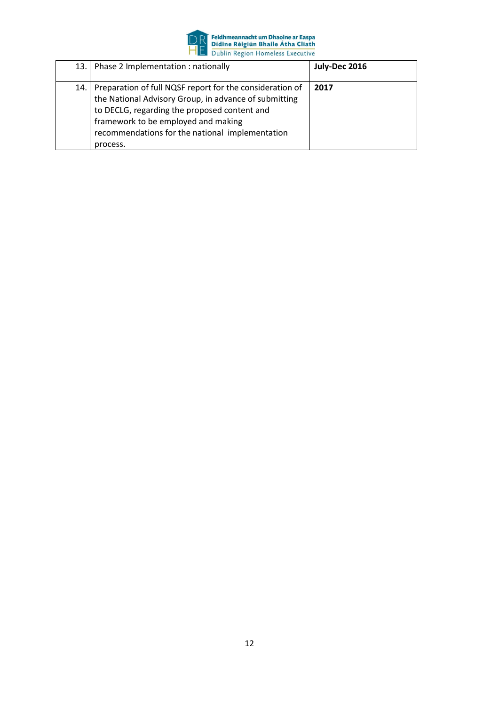

| 13.   | Phase 2 Implementation: nationally                                                                                                                                                                                                                                      | July-Dec 2016 |
|-------|-------------------------------------------------------------------------------------------------------------------------------------------------------------------------------------------------------------------------------------------------------------------------|---------------|
| 14. l | Preparation of full NQSF report for the consideration of<br>the National Advisory Group, in advance of submitting<br>to DECLG, regarding the proposed content and<br>framework to be employed and making<br>recommendations for the national implementation<br>process. | 2017          |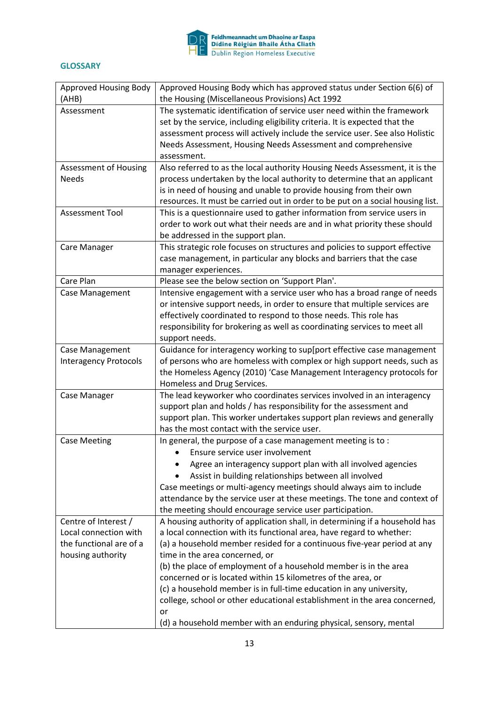

#### **GLOSSARY**

| Approved Housing Body        | Approved Housing Body which has approved status under Section 6(6) of          |
|------------------------------|--------------------------------------------------------------------------------|
| (AHB)                        | the Housing (Miscellaneous Provisions) Act 1992                                |
| Assessment                   | The systematic identification of service user need within the framework        |
|                              | set by the service, including eligibility criteria. It is expected that the    |
|                              | assessment process will actively include the service user. See also Holistic   |
|                              | Needs Assessment, Housing Needs Assessment and comprehensive                   |
|                              | assessment.                                                                    |
| Assessment of Housing        | Also referred to as the local authority Housing Needs Assessment, it is the    |
| <b>Needs</b>                 | process undertaken by the local authority to determine that an applicant       |
|                              | is in need of housing and unable to provide housing from their own             |
|                              | resources. It must be carried out in order to be put on a social housing list. |
| <b>Assessment Tool</b>       | This is a questionnaire used to gather information from service users in       |
|                              | order to work out what their needs are and in what priority these should       |
|                              | be addressed in the support plan.                                              |
| Care Manager                 | This strategic role focuses on structures and policies to support effective    |
|                              | case management, in particular any blocks and barriers that the case           |
|                              | manager experiences.                                                           |
| Care Plan                    | Please see the below section on 'Support Plan'.                                |
| Case Management              | Intensive engagement with a service user who has a broad range of needs        |
|                              | or intensive support needs, in order to ensure that multiple services are      |
|                              | effectively coordinated to respond to those needs. This role has               |
|                              | responsibility for brokering as well as coordinating services to meet all      |
|                              | support needs.                                                                 |
| Case Management              | Guidance for interagency working to sup[port effective case management         |
| <b>Interagency Protocols</b> | of persons who are homeless with complex or high support needs, such as        |
|                              | the Homeless Agency (2010) 'Case Management Interagency protocols for          |
|                              | Homeless and Drug Services.                                                    |
| Case Manager                 | The lead keyworker who coordinates services involved in an interagency         |
|                              | support plan and holds / has responsibility for the assessment and             |
|                              | support plan. This worker undertakes support plan reviews and generally        |
|                              | has the most contact with the service user.                                    |
| <b>Case Meeting</b>          | In general, the purpose of a case management meeting is to:                    |
|                              | Ensure service user involvement                                                |
|                              | Agree an interagency support plan with all involved agencies                   |
|                              | Assist in building relationships between all involved                          |
|                              | Case meetings or multi-agency meetings should always aim to include            |
|                              | attendance by the service user at these meetings. The tone and context of      |
|                              | the meeting should encourage service user participation.                       |
| Centre of Interest /         | A housing authority of application shall, in determining if a household has    |
| Local connection with        | a local connection with its functional area, have regard to whether:           |
| the functional are of a      | (a) a household member resided for a continuous five-year period at any        |
| housing authority            | time in the area concerned, or                                                 |
|                              | (b) the place of employment of a household member is in the area               |
|                              | concerned or is located within 15 kilometres of the area, or                   |
|                              | (c) a household member is in full-time education in any university,            |
|                              | college, school or other educational establishment in the area concerned,      |
|                              | or                                                                             |
|                              | (d) a household member with an enduring physical, sensory, mental              |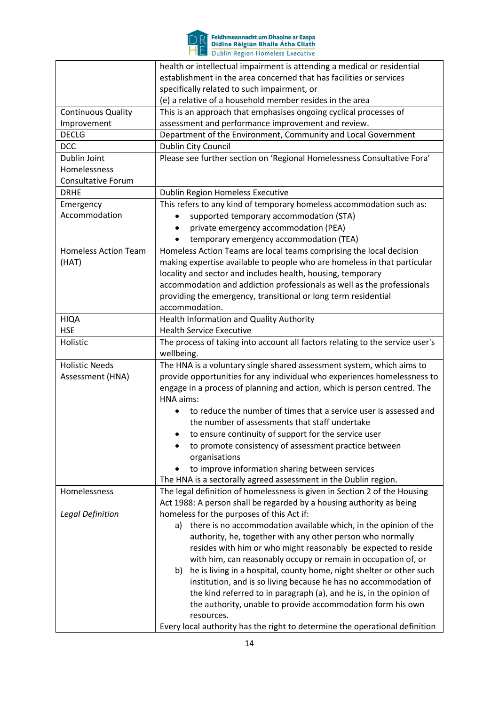

# **DR** Feidhmeannacht um Dhaoine ar Easpa<br>
HE Didine Réigiún Bhaile Átha Cliath<br>
HE Dublin Region Homeless Executive

|                             | health or intellectual impairment is attending a medical or residential       |
|-----------------------------|-------------------------------------------------------------------------------|
|                             | establishment in the area concerned that has facilities or services           |
|                             | specifically related to such impairment, or                                   |
|                             | (e) a relative of a household member resides in the area                      |
| <b>Continuous Quality</b>   | This is an approach that emphasises ongoing cyclical processes of             |
| Improvement                 | assessment and performance improvement and review.                            |
| <b>DECLG</b>                | Department of the Environment, Community and Local Government                 |
| <b>DCC</b>                  | Dublin City Council                                                           |
| Dublin Joint                | Please see further section on 'Regional Homelessness Consultative Fora'       |
| Homelessness                |                                                                               |
| <b>Consultative Forum</b>   |                                                                               |
| <b>DRHE</b>                 | Dublin Region Homeless Executive                                              |
| Emergency                   | This refers to any kind of temporary homeless accommodation such as:          |
| Accommodation               | supported temporary accommodation (STA)                                       |
|                             | private emergency accommodation (PEA)                                         |
|                             | temporary emergency accommodation (TEA)                                       |
| <b>Homeless Action Team</b> | Homeless Action Teams are local teams comprising the local decision           |
| (HAT)                       | making expertise available to people who are homeless in that particular      |
|                             | locality and sector and includes health, housing, temporary                   |
|                             | accommodation and addiction professionals as well as the professionals        |
|                             | providing the emergency, transitional or long term residential                |
|                             | accommodation.                                                                |
| <b>HIQA</b>                 | Health Information and Quality Authority                                      |
| <b>HSE</b>                  | <b>Health Service Executive</b>                                               |
| Holistic                    | The process of taking into account all factors relating to the service user's |
|                             | wellbeing.                                                                    |
| <b>Holistic Needs</b>       | The HNA is a voluntary single shared assessment system, which aims to         |
| Assessment (HNA)            | provide opportunities for any individual who experiences homelessness to      |
|                             | engage in a process of planning and action, which is person centred. The      |
|                             | HNA aims:                                                                     |
|                             | to reduce the number of times that a service user is assessed and             |
|                             | the number of assessments that staff undertake                                |
|                             | to ensure continuity of support for the service user                          |
|                             | to promote consistency of assessment practice between                         |
|                             | organisations                                                                 |
|                             | to improve information sharing between services                               |
|                             | The HNA is a sectorally agreed assessment in the Dublin region.               |
| Homelessness                | The legal definition of homelessness is given in Section 2 of the Housing     |
|                             | Act 1988: A person shall be regarded by a housing authority as being          |
| <b>Legal Definition</b>     | homeless for the purposes of this Act if:                                     |
|                             | there is no accommodation available which, in the opinion of the<br>a)        |
|                             | authority, he, together with any other person who normally                    |
|                             | resides with him or who might reasonably be expected to reside                |
|                             | with him, can reasonably occupy or remain in occupation of, or                |
|                             | he is living in a hospital, county home, night shelter or other such<br>b)    |
|                             | institution, and is so living because he has no accommodation of              |
|                             | the kind referred to in paragraph (a), and he is, in the opinion of           |
|                             | the authority, unable to provide accommodation form his own                   |
|                             | resources.                                                                    |
|                             | Every local authority has the right to determine the operational definition   |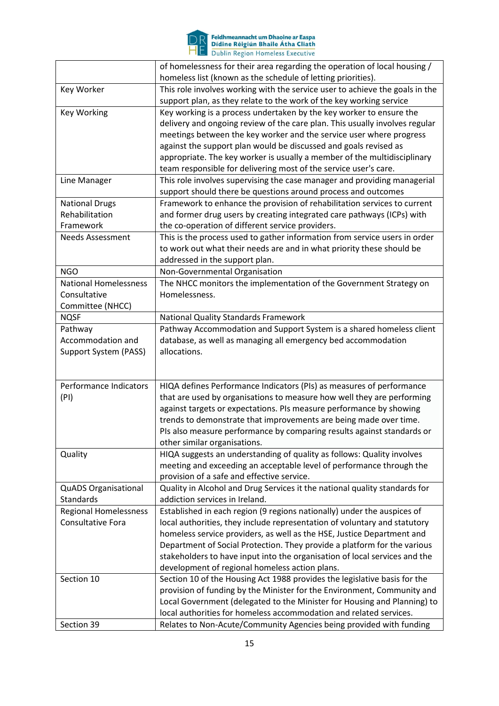

# **DR** Feidhmeannacht um Dhaoine ar Easpa<br>
HE Didine Réigiún Bhaile Átha Cliath<br>
HE Dublin Region Homeless Executive

|                              | of homelessness for their area regarding the operation of local housing /    |
|------------------------------|------------------------------------------------------------------------------|
|                              | homeless list (known as the schedule of letting priorities).                 |
| Key Worker                   | This role involves working with the service user to achieve the goals in the |
|                              | support plan, as they relate to the work of the key working service          |
| <b>Key Working</b>           | Key working is a process undertaken by the key worker to ensure the          |
|                              | delivery and ongoing review of the care plan. This usually involves regular  |
|                              | meetings between the key worker and the service user where progress          |
|                              | against the support plan would be discussed and goals revised as             |
|                              | appropriate. The key worker is usually a member of the multidisciplinary     |
|                              | team responsible for delivering most of the service user's care.             |
| Line Manager                 | This role involves supervising the case manager and providing managerial     |
|                              | support should there be questions around process and outcomes                |
| <b>National Drugs</b>        | Framework to enhance the provision of rehabilitation services to current     |
| Rehabilitation               | and former drug users by creating integrated care pathways (ICPs) with       |
| Framework                    | the co-operation of different service providers.                             |
| <b>Needs Assessment</b>      | This is the process used to gather information from service users in order   |
|                              | to work out what their needs are and in what priority these should be        |
|                              | addressed in the support plan.                                               |
| <b>NGO</b>                   | Non-Governmental Organisation                                                |
| <b>National Homelessness</b> | The NHCC monitors the implementation of the Government Strategy on           |
| Consultative                 | Homelessness.                                                                |
| Committee (NHCC)             |                                                                              |
| <b>NQSF</b>                  | <b>National Quality Standards Framework</b>                                  |
| Pathway                      | Pathway Accommodation and Support System is a shared homeless client         |
| Accommodation and            | database, as well as managing all emergency bed accommodation                |
| Support System (PASS)        | allocations.                                                                 |
|                              |                                                                              |
|                              |                                                                              |
| Performance Indicators       | HIQA defines Performance Indicators (PIs) as measures of performance         |
| (PI)                         | that are used by organisations to measure how well they are performing       |
|                              | against targets or expectations. PIs measure performance by showing          |
|                              | trends to demonstrate that improvements are being made over time.            |
|                              | PIs also measure performance by comparing results against standards or       |
|                              | other similar organisations.                                                 |
| Quality                      | HIQA suggests an understanding of quality as follows: Quality involves       |
|                              | meeting and exceeding an acceptable level of performance through the         |
|                              | provision of a safe and effective service.                                   |
| <b>QuADS Organisational</b>  | Quality in Alcohol and Drug Services it the national quality standards for   |
| <b>Standards</b>             | addiction services in Ireland.                                               |
| <b>Regional Homelessness</b> | Established in each region (9 regions nationally) under the auspices of      |
| Consultative Fora            | local authorities, they include representation of voluntary and statutory    |
|                              | homeless service providers, as well as the HSE, Justice Department and       |
|                              | Department of Social Protection. They provide a platform for the various     |
|                              | stakeholders to have input into the organisation of local services and the   |
|                              | development of regional homeless action plans.                               |
| Section 10                   | Section 10 of the Housing Act 1988 provides the legislative basis for the    |
|                              | provision of funding by the Minister for the Environment, Community and      |
|                              | Local Government (delegated to the Minister for Housing and Planning) to     |
|                              | local authorities for homeless accommodation and related services.           |
| Section 39                   | Relates to Non-Acute/Community Agencies being provided with funding          |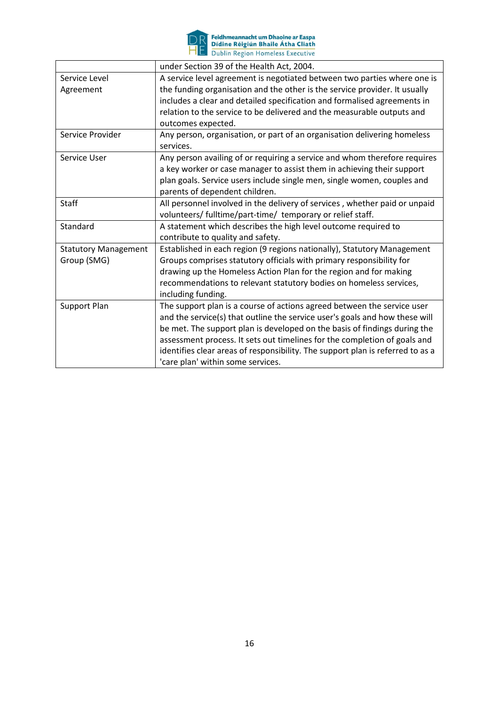

**DR** Feidhmeannacht um Dhaoine ar Easpa<br>
HE Didine Réigiún Bhaile Átha Cliath<br>
HE Dublin Region Homeless Executive

|                             | under Section 39 of the Health Act, 2004.                                      |
|-----------------------------|--------------------------------------------------------------------------------|
| Service Level               | A service level agreement is negotiated between two parties where one is       |
| Agreement                   | the funding organisation and the other is the service provider. It usually     |
|                             | includes a clear and detailed specification and formalised agreements in       |
|                             | relation to the service to be delivered and the measurable outputs and         |
|                             | outcomes expected.                                                             |
| Service Provider            | Any person, organisation, or part of an organisation delivering homeless       |
|                             | services.                                                                      |
| Service User                | Any person availing of or requiring a service and whom therefore requires      |
|                             | a key worker or case manager to assist them in achieving their support         |
|                             | plan goals. Service users include single men, single women, couples and        |
|                             | parents of dependent children.                                                 |
| <b>Staff</b>                | All personnel involved in the delivery of services, whether paid or unpaid     |
|                             | volunteers/ fulltime/part-time/ temporary or relief staff.                     |
| Standard                    | A statement which describes the high level outcome required to                 |
|                             | contribute to quality and safety.                                              |
| <b>Statutory Management</b> | Established in each region (9 regions nationally), Statutory Management        |
| Group (SMG)                 | Groups comprises statutory officials with primary responsibility for           |
|                             | drawing up the Homeless Action Plan for the region and for making              |
|                             | recommendations to relevant statutory bodies on homeless services,             |
|                             | including funding.                                                             |
| Support Plan                | The support plan is a course of actions agreed between the service user        |
|                             | and the service(s) that outline the service user's goals and how these will    |
|                             | be met. The support plan is developed on the basis of findings during the      |
|                             | assessment process. It sets out timelines for the completion of goals and      |
|                             | identifies clear areas of responsibility. The support plan is referred to as a |
|                             | 'care plan' within some services.                                              |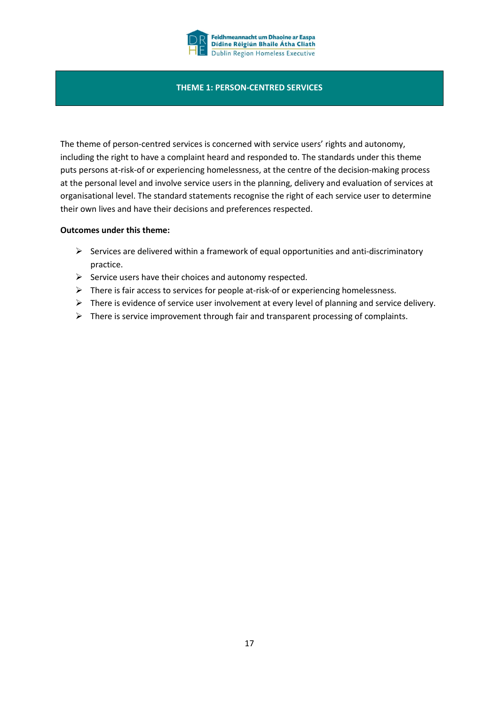

#### **THEME 1: PERSON-CENTRED SERVICES**

The theme of person-centred services is concerned with service users' rights and autonomy, including the right to have a complaint heard and responded to. The standards under this theme puts persons at-risk-of or experiencing homelessness, at the centre of the decision-making process at the personal level and involve service users in the planning, delivery and evaluation of services at organisational level. The standard statements recognise the right of each service user to determine their own lives and have their decisions and preferences respected.

#### **Outcomes under this theme:**

- $\triangleright$  Services are delivered within a framework of equal opportunities and anti-discriminatory practice.
- $\triangleright$  Service users have their choices and autonomy respected.
- $\triangleright$  There is fair access to services for people at-risk-of or experiencing homelessness.
- $\triangleright$  There is evidence of service user involvement at every level of planning and service delivery.
- $\triangleright$  There is service improvement through fair and transparent processing of complaints.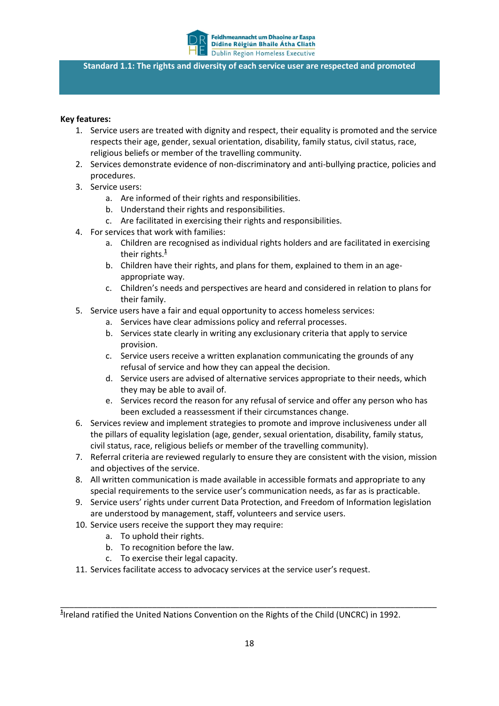

**Standard 1.1: The rights and diversity of each service user are respected and promoted**

#### **Key features:**

- 1. Service users are treated with dignity and respect, their equality is promoted and the service respects their age, gender, sexual orientation, disability, family status, civil status, race, religious beliefs or member of the travelling community.
- 2. Services demonstrate evidence of non-discriminatory and anti-bullying practice, policies and procedures.
- 3. Service users:
	- a. Are informed of their rights and responsibilities.
	- b. Understand their rights and responsibilities.
	- c. Are facilitated in exercising their rights and responsibilities.
- 4. For services that work with families:
	- a. Children are recognised as individual rights holders and are facilitated in exercising their rights.**<sup>1</sup>**
	- b. Children have their rights, and plans for them, explained to them in an ageappropriate way.
	- c. Children's needs and perspectives are heard and considered in relation to plans for their family.
- 5. Service users have a fair and equal opportunity to access homeless services:
	- a. Services have clear admissions policy and referral processes.
	- b. Services state clearly in writing any exclusionary criteria that apply to service provision.
	- c. Service users receive a written explanation communicating the grounds of any refusal of service and how they can appeal the decision.
	- d. Service users are advised of alternative services appropriate to their needs, which they may be able to avail of.
	- e. Services record the reason for any refusal of service and offer any person who has been excluded a reassessment if their circumstances change.
- 6. Services review and implement strategies to promote and improve inclusiveness under all the pillars of equality legislation (age, gender, sexual orientation, disability, family status, civil status, race, religious beliefs or member of the travelling community).
- 7. Referral criteria are reviewed regularly to ensure they are consistent with the vision, mission and objectives of the service.
- 8. All written communication is made available in accessible formats and appropriate to any special requirements to the service user's communication needs, as far as is practicable.
- 9. Service users' rights under current Data Protection, and Freedom of Information legislation are understood by management, staff, volunteers and service users.
- 10. Service users receive the support they may require:
	- a. To uphold their rights.
	- b. To recognition before the law.
	- c. To exercise their legal capacity.
- 11. Services facilitate access to advocacy services at the service user's request.

\_\_\_\_\_\_\_\_\_\_\_\_\_\_\_\_\_\_\_\_\_\_\_\_\_\_\_\_\_\_\_\_\_\_\_\_\_\_\_\_\_\_\_\_\_\_\_\_\_\_\_\_\_\_\_\_\_\_\_\_\_\_\_\_\_\_\_\_\_\_\_\_\_\_\_\_\_\_\_\_\_\_

**<sup>1</sup>** Ireland ratified the United Nations Convention on the Rights of the Child (UNCRC) in 1992.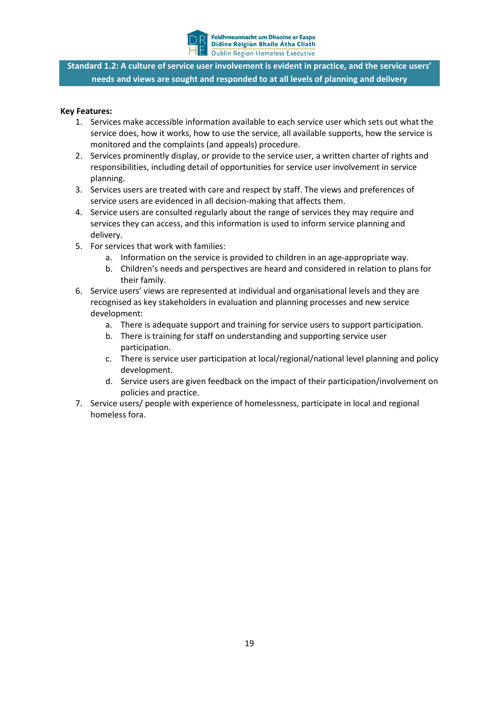

**Standard 1.2: A culture of service user involvement is evident in practice, and the service users' needs and views are sought and responded to at all levels of planning and delivery**

- 1. Services make accessible information available to each service user which sets out what the service does, how it works, how to use the service, all available supports, how the service is monitored and the complaints (and appeals) procedure.
- 2. Services prominently display, or provide to the service user, a written charter of rights and responsibilities, including detail of opportunities for service user involvement in service planning.
- 3. Services users are treated with care and respect by staff. The views and preferences of service users are evidenced in all decision-making that affects them.
- 4. Service users are consulted regularly about the range of services they may require and services they can access, and this information is used to inform service planning and delivery.
- 5. For services that work with families:
	- a. Information on the service is provided to children in an age-appropriate way.
	- b. Children's needs and perspectives are heard and considered in relation to plans for their family.
- 6. Service users' views are represented at individual and organisational levels and they are recognised as key stakeholders in evaluation and planning processes and new service development:
	- a. There is adequate support and training for service users to support participation.
	- b. There is training for staff on understanding and supporting service user participation.
	- c. There is service user participation at local/regional/national level planning and policy development.
	- d. Service users are given feedback on the impact of their participation/involvement on policies and practice.
- 7. Service users/ people with experience of homelessness, participate in local and regional homeless fora.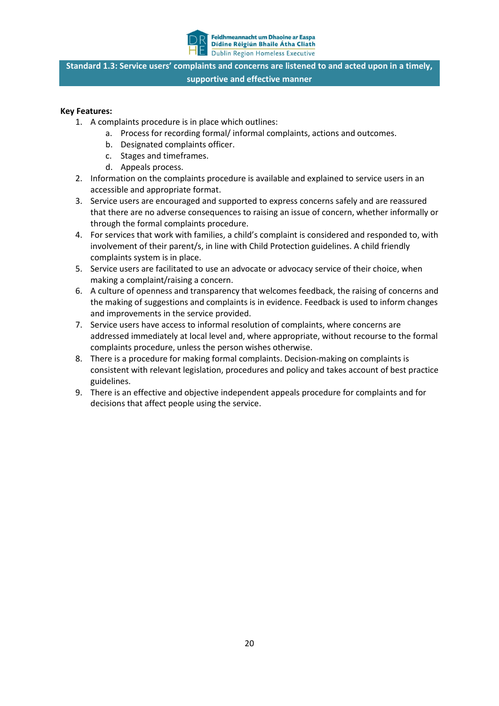

**Standard 1.3: Service users' complaints and concerns are listened to and acted upon in a timely, supportive and effective manner**

- 1. A complaints procedure is in place which outlines:
	- a. Process for recording formal/ informal complaints, actions and outcomes.
	- b. Designated complaints officer.
	- c. Stages and timeframes.
	- d. Appeals process.
- 2. Information on the complaints procedure is available and explained to service users in an accessible and appropriate format.
- 3. Service users are encouraged and supported to express concerns safely and are reassured that there are no adverse consequences to raising an issue of concern, whether informally or through the formal complaints procedure.
- 4. For services that work with families, a child's complaint is considered and responded to, with involvement of their parent/s, in line with Child Protection guidelines. A child friendly complaints system is in place.
- 5. Service users are facilitated to use an advocate or advocacy service of their choice, when making a complaint/raising a concern.
- 6. A culture of openness and transparency that welcomes feedback, the raising of concerns and the making of suggestions and complaints is in evidence. Feedback is used to inform changes and improvements in the service provided.
- 7. Service users have access to informal resolution of complaints, where concerns are addressed immediately at local level and, where appropriate, without recourse to the formal complaints procedure, unless the person wishes otherwise.
- 8. There is a procedure for making formal complaints. Decision-making on complaints is consistent with relevant legislation, procedures and policy and takes account of best practice guidelines.
- 9. There is an effective and objective independent appeals procedure for complaints and for decisions that affect people using the service.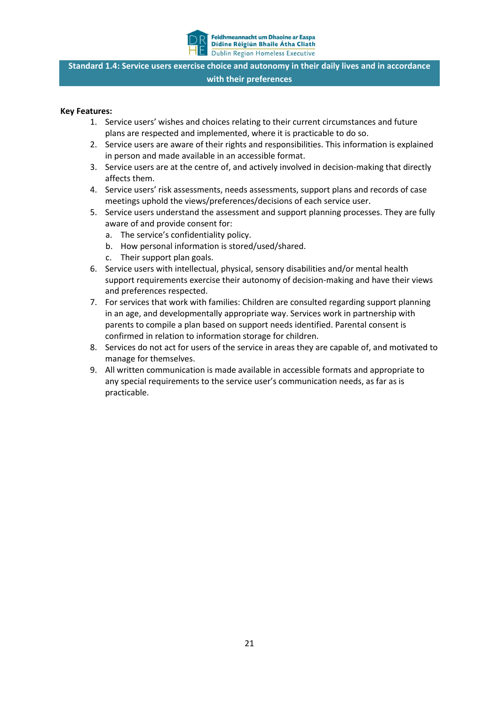

**Standard 1.4: Service users exercise choice and autonomy in their daily lives and in accordance with their preferences**

- 1. Service users' wishes and choices relating to their current circumstances and future plans are respected and implemented, where it is practicable to do so.
- 2. Service users are aware of their rights and responsibilities. This information is explained in person and made available in an accessible format.
- 3. Service users are at the centre of, and actively involved in decision-making that directly affects them.
- 4. Service users' risk assessments, needs assessments, support plans and records of case meetings uphold the views/preferences/decisions of each service user.
- 5. Service users understand the assessment and support planning processes. They are fully aware of and provide consent for:
	- a. The service's confidentiality policy.
	- b. How personal information is stored/used/shared.
	- c. Their support plan goals.
- 6. Service users with intellectual, physical, sensory disabilities and/or mental health support requirements exercise their autonomy of decision-making and have their views and preferences respected.
- 7. For services that work with families: Children are consulted regarding support planning in an age, and developmentally appropriate way. Services work in partnership with parents to compile a plan based on support needs identified. Parental consent is confirmed in relation to information storage for children.
- 8. Services do not act for users of the service in areas they are capable of, and motivated to manage for themselves.
- 9. All written communication is made available in accessible formats and appropriate to any special requirements to the service user's communication needs, as far as is practicable.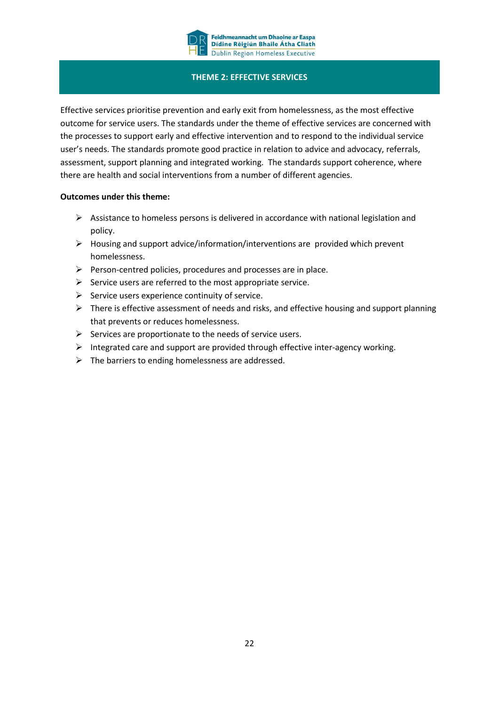

#### **THEME 2: EFFECTIVE SERVICES**

Effective services prioritise prevention and early exit from homelessness, as the most effective outcome for service users. The standards under the theme of effective services are concerned with the processes to support early and effective intervention and to respond to the individual service user's needs. The standards promote good practice in relation to advice and advocacy, referrals, assessment, support planning and integrated working. The standards support coherence, where there are health and social interventions from a number of different agencies.

#### **Outcomes under this theme:**

- $\triangleright$  Assistance to homeless persons is delivered in accordance with national legislation and policy.
- $\triangleright$  Housing and support advice/information/interventions are provided which prevent homelessness.
- $\triangleright$  Person-centred policies, procedures and processes are in place.
- $\triangleright$  Service users are referred to the most appropriate service.
- $\triangleright$  Service users experience continuity of service.
- $\triangleright$  There is effective assessment of needs and risks, and effective housing and support planning that prevents or reduces homelessness.
- $\triangleright$  Services are proportionate to the needs of service users.
- Integrated care and support are provided through effective inter-agency working.
- $\triangleright$  The barriers to ending homelessness are addressed.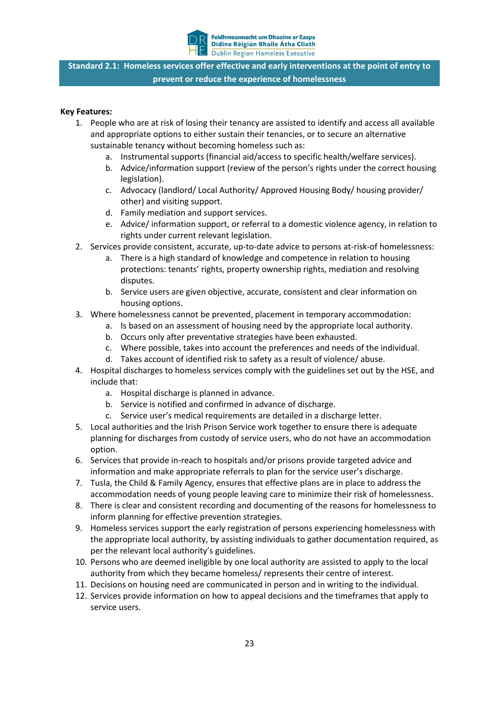

**Standard 2.1: Homeless services offer effective and early interventions at the point of entry to prevent or reduce the experience of homelessness**

- 1. People who are at risk of losing their tenancy are assisted to identify and access all available and appropriate options to either sustain their tenancies, or to secure an alternative sustainable tenancy without becoming homeless such as:
	- a. Instrumental supports (financial aid/access to specific health/welfare services).
	- b. Advice/information support (review of the person's rights under the correct housing legislation).
	- c. Advocacy (landlord/ Local Authority/ Approved Housing Body/ housing provider/ other) and visiting support.
	- d. Family mediation and support services.
	- e. Advice/ information support, or referral to a domestic violence agency, in relation to rights under current relevant legislation.
- 2. Services provide consistent, accurate, up-to-date advice to persons at-risk-of homelessness:
	- a. There is a high standard of knowledge and competence in relation to housing protections: tenants' rights, property ownership rights, mediation and resolving disputes.
	- b. Service users are given objective, accurate, consistent and clear information on housing options.
- 3. Where homelessness cannot be prevented, placement in temporary accommodation:
	- a. Is based on an assessment of housing need by the appropriate local authority.
	- b. Occurs only after preventative strategies have been exhausted.
	- c. Where possible, takes into account the preferences and needs of the individual.
	- d. Takes account of identified risk to safety as a result of violence/ abuse.
- 4. Hospital discharges to homeless services comply with the guidelines set out by the HSE, and include that:
	- a. Hospital discharge is planned in advance.
	- b. Service is notified and confirmed in advance of discharge.
	- c. Service user's medical requirements are detailed in a discharge letter.
- 5. Local authorities and the Irish Prison Service work together to ensure there is adequate planning for discharges from custody of service users, who do not have an accommodation option.
- 6. Services that provide in-reach to hospitals and/or prisons provide targeted advice and information and make appropriate referrals to plan for the service user's discharge.
- 7. Tusla, the Child & Family Agency, ensures that effective plans are in place to address the accommodation needs of young people leaving care to minimize their risk of homelessness.
- 8. There is clear and consistent recording and documenting of the reasons for homelessness to inform planning for effective prevention strategies.
- 9. Homeless services support the early registration of persons experiencing homelessness with the appropriate local authority, by assisting individuals to gather documentation required, as per the relevant local authority's guidelines.
- 10. Persons who are deemed ineligible by one local authority are assisted to apply to the local authority from which they became homeless/ represents their centre of interest.
- 11. Decisions on housing need are communicated in person and in writing to the individual.
- 12. Services provide information on how to appeal decisions and the timeframes that apply to service users.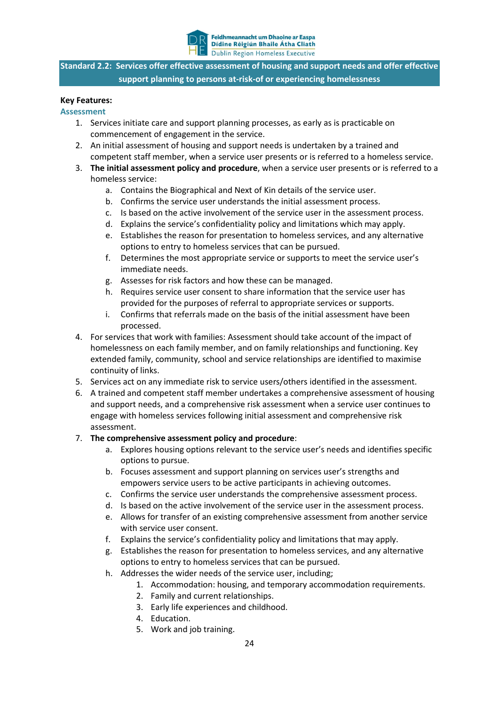

**Standard 2.2: Services offer effective assessment of housing and support needs and offer effective support planning to persons at-risk-of or experiencing homelessness**

#### **Key Features:**

#### **Assessment**

- 1. Services initiate care and support planning processes, as early as is practicable on commencement of engagement in the service.
- 2. An initial assessment of housing and support needs is undertaken by a trained and competent staff member, when a service user presents or is referred to a homeless service.
- 3. **The initial assessment policy and procedure**, when a service user presents or is referred to a homeless service:
	- a. Contains the Biographical and Next of Kin details of the service user.
	- b. Confirms the service user understands the initial assessment process.
	- c. Is based on the active involvement of the service user in the assessment process.
	- d. Explains the service's confidentiality policy and limitations which may apply.
	- e. Establishes the reason for presentation to homeless services, and any alternative options to entry to homeless services that can be pursued.
	- f. Determines the most appropriate service or supports to meet the service user's immediate needs.
	- g. Assesses for risk factors and how these can be managed.
	- h. Requires service user consent to share information that the service user has provided for the purposes of referral to appropriate services or supports.
	- i. Confirms that referrals made on the basis of the initial assessment have been processed.
- 4. For services that work with families: Assessment should take account of the impact of homelessness on each family member, and on family relationships and functioning. Key extended family, community, school and service relationships are identified to maximise continuity of links.
- 5. Services act on any immediate risk to service users/others identified in the assessment.
- 6. A trained and competent staff member undertakes a comprehensive assessment of housing and support needs, and a comprehensive risk assessment when a service user continues to engage with homeless services following initial assessment and comprehensive risk assessment.

#### 7. **The comprehensive assessment policy and procedure**:

- a. Explores housing options relevant to the service user's needs and identifies specific options to pursue.
- b. Focuses assessment and support planning on services user's strengths and empowers service users to be active participants in achieving outcomes.
- c. Confirms the service user understands the comprehensive assessment process.
- d. Is based on the active involvement of the service user in the assessment process.
- e. Allows for transfer of an existing comprehensive assessment from another service with service user consent.
- f. Explains the service's confidentiality policy and limitations that may apply.
- g. Establishes the reason for presentation to homeless services, and any alternative options to entry to homeless services that can be pursued.
- h. Addresses the wider needs of the service user, including;
	- 1. Accommodation: housing, and temporary accommodation requirements.
	- 2. Family and current relationships.
	- 3. Early life experiences and childhood.
	- 4. Education.
	- 5. Work and job training.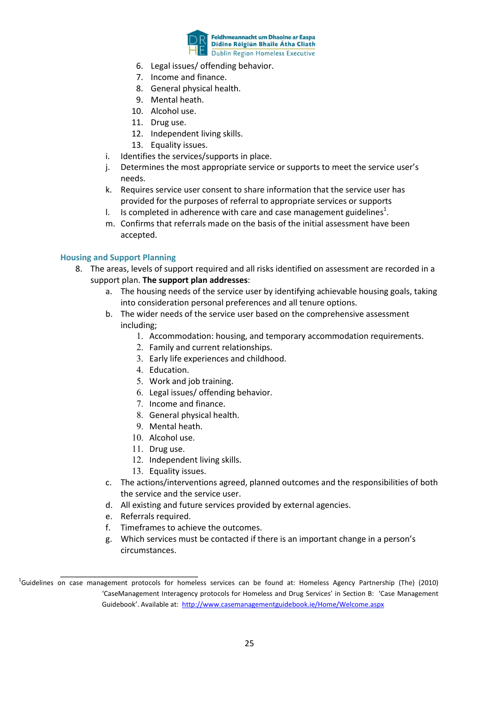

- 6. Legal issues/ offending behavior.
- 7. Income and finance.
- 8. General physical health.
- 9. Mental heath.
- 10. Alcohol use.
- 11. Drug use.
- 12. Independent living skills.
- 13. Equality issues.
- i. Identifies the services/supports in place.
- j. Determines the most appropriate service or supports to meet the service user's needs.
- k. Requires service user consent to share information that the service user has provided for the purposes of referral to appropriate services or supports
- I. Is completed in adherence with care and case management guidelines<sup>1</sup>.
- m. Confirms that referrals made on the basis of the initial assessment have been accepted.

#### **Housing and Support Planning**

- 8. The areas, levels of support required and all risks identified on assessment are recorded in a support plan. **The support plan addresses**:
	- a. The housing needs of the service user by identifying achievable housing goals, taking into consideration personal preferences and all tenure options.
	- b. The wider needs of the service user based on the comprehensive assessment including;
		- 1. Accommodation: housing, and temporary accommodation requirements.
		- 2. Family and current relationships.
		- 3. Early life experiences and childhood.
		- 4. Education.
		- 5. Work and job training.
		- 6. Legal issues/ offending behavior.
		- 7. Income and finance.
		- 8. General physical health.
		- 9. Mental heath.
		- 10. Alcohol use.
		- 11. Drug use.
		- 12. Independent living skills.
		- 13. Equality issues.
	- c. The actions/interventions agreed, planned outcomes and the responsibilities of both the service and the service user.
	- d. All existing and future services provided by external agencies.
	- e. Referrals required.
	- f. Timeframes to achieve the outcomes.
	- g. Which services must be contacted if there is an important change in a person's circumstances.

\_\_\_\_\_\_\_\_\_\_\_\_\_\_\_\_\_\_\_\_\_\_\_\_\_\_\_\_\_\_ <sup>1</sup> Guidelines on case management protocols for homeless services can be found at: Homeless Agency Partnership (The) (2010) 'CaseManagement Interagency protocols for Homeless and Drug Services' in Section B: 'Case Management Guidebook'. Available at: <http://www.casemanagementguidebook.ie/Home/Welcome.aspx>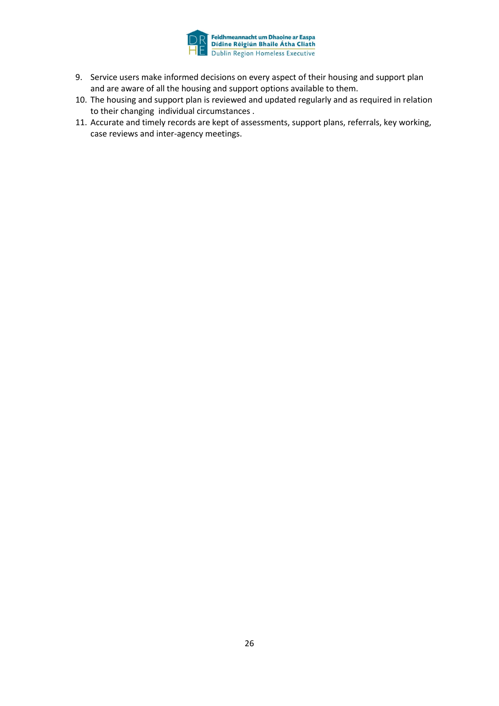

- 9. Service users make informed decisions on every aspect of their housing and support plan and are aware of all the housing and support options available to them.
- 10. The housing and support plan is reviewed and updated regularly and as required in relation to their changing individual circumstances .
- 11. Accurate and timely records are kept of assessments, support plans, referrals, key working, case reviews and inter-agency meetings.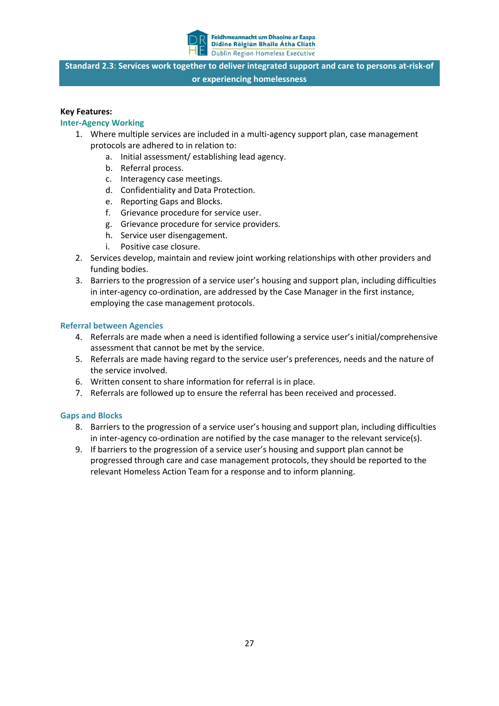

**Standard 2.3**: **Services work together to deliver integrated support and care to persons at-risk-of or experiencing homelessness**

#### **Key Features:**

#### **Inter-Agency Working**

- 1. Where multiple services are included in a multi-agency support plan, case management protocols are adhered to in relation to:
	- a. Initial assessment/ establishing lead agency.
	- b. Referral process.
	- c. Interagency case meetings.
	- d. Confidentiality and Data Protection.
	- e. Reporting Gaps and Blocks.
	- f. Grievance procedure for service user.
	- g. Grievance procedure for service providers.
	- h. Service user disengagement.
	- i. Positive case closure.
- 2. Services develop, maintain and review joint working relationships with other providers and funding bodies.
- 3. Barriers to the progression of a service user's housing and support plan, including difficulties in inter-agency co-ordination, are addressed by the Case Manager in the first instance, employing the case management protocols.

#### **Referral between Agencies**

- 4. Referrals are made when a need is identified following a service user's initial/comprehensive assessment that cannot be met by the service.
- 5. Referrals are made having regard to the service user's preferences, needs and the nature of the service involved.
- 6. Written consent to share information for referral is in place.
- 7. Referrals are followed up to ensure the referral has been received and processed.

#### **Gaps and Blocks**

- 8. Barriers to the progression of a service user's housing and support plan, including difficulties in inter-agency co-ordination are notified by the case manager to the relevant service(s).
- 9. If barriers to the progression of a service user's housing and support plan cannot be progressed through care and case management protocols, they should be reported to the relevant Homeless Action Team for a response and to inform planning.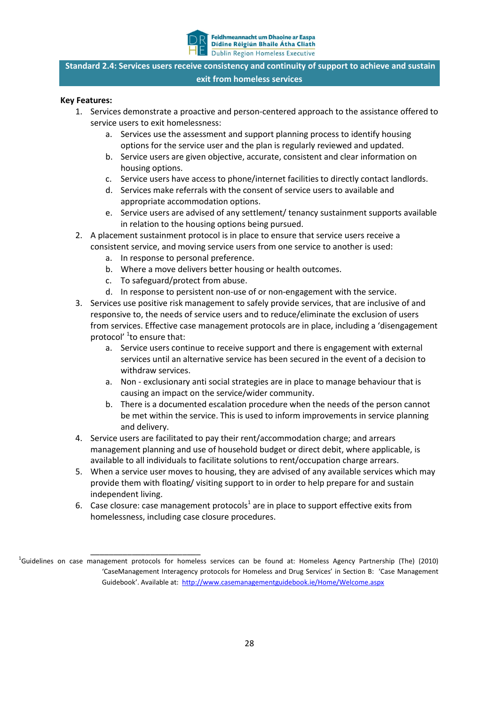

**Standard 2.4: Services users receive consistency and continuity of support to achieve and sustain exit from homeless services**

- 1. Services demonstrate a proactive and person-centered approach to the assistance offered to service users to exit homelessness:
	- a. Services use the assessment and support planning process to identify housing options for the service user and the plan is regularly reviewed and updated.
	- b. Service users are given objective, accurate, consistent and clear information on housing options.
	- c. Service users have access to phone/internet facilities to directly contact landlords.
	- d. Services make referrals with the consent of service users to available and appropriate accommodation options.
	- e. Service users are advised of any settlement/ tenancy sustainment supports available in relation to the housing options being pursued.
- 2. A placement sustainment protocol is in place to ensure that service users receive a consistent service, and moving service users from one service to another is used:
	- a. In response to personal preference.
	- b. Where a move delivers better housing or health outcomes.
	- c. To safeguard/protect from abuse.
	- d. In response to persistent non-use of or non-engagement with the service.
- 3. Services use positive risk management to safely provide services, that are inclusive of and responsive to, the needs of service users and to reduce/eliminate the exclusion of users from services. Effective case management protocols are in place, including a 'disengagement protocol' <sup>1</sup>to ensure that:
	- a. Service users continue to receive support and there is engagement with external services until an alternative service has been secured in the event of a decision to withdraw services.
	- a. Non exclusionary anti social strategies are in place to manage behaviour that is causing an impact on the service/wider community.
	- b. There is a documented escalation procedure when the needs of the person cannot be met within the service. This is used to inform improvements in service planning and delivery.
- 4. Service users are facilitated to pay their rent/accommodation charge; and arrears management planning and use of household budget or direct debit, where applicable, is available to all individuals to facilitate solutions to rent/occupation charge arrears.
- 5. When a service user moves to housing, they are advised of any available services which may provide them with floating/ visiting support to in order to help prepare for and sustain independent living.
- 6. Case closure: case management protocols<sup>1</sup> are in place to support effective exits from homelessness, including case closure procedures.

\_\_\_\_\_\_\_\_\_\_\_\_\_\_\_\_\_\_\_\_\_\_\_\_ <sup>1</sup> Guidelines on case management protocols for homeless services can be found at: Homeless Agency Partnership (The) (2010) 'CaseManagement Interagency protocols for Homeless and Drug Services' in Section B: 'Case Management Guidebook'. Available at: <http://www.casemanagementguidebook.ie/Home/Welcome.aspx>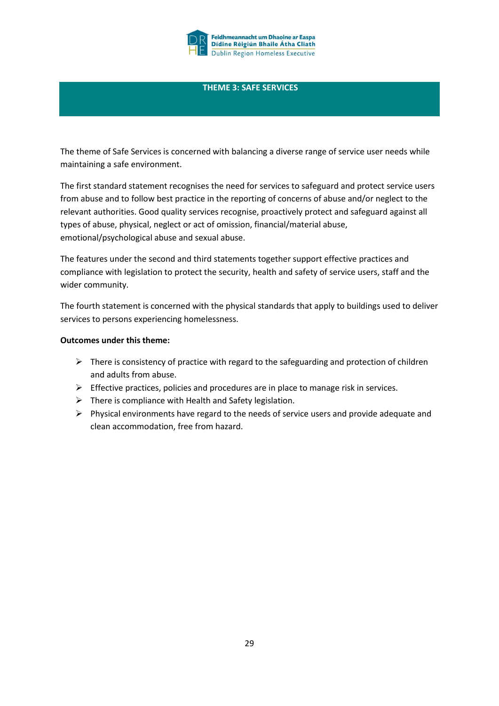

#### **THEME 3: SAFE SERVICES**

The theme of Safe Services is concerned with balancing a diverse range of service user needs while maintaining a safe environment.

The first standard statement recognises the need for services to safeguard and protect service users from abuse and to follow best practice in the reporting of concerns of abuse and/or neglect to the relevant authorities. Good quality services recognise, proactively protect and safeguard against all types of abuse, physical, neglect or act of omission, financial/material abuse, emotional/psychological abuse and sexual abuse.

The features under the second and third statements together support effective practices and compliance with legislation to protect the security, health and safety of service users, staff and the wider community.

The fourth statement is concerned with the physical standards that apply to buildings used to deliver services to persons experiencing homelessness.

#### **Outcomes under this theme:**

- $\triangleright$  There is consistency of practice with regard to the safeguarding and protection of children and adults from abuse.
- $\triangleright$  Effective practices, policies and procedures are in place to manage risk in services.
- $\triangleright$  There is compliance with Health and Safety legislation.
- $\triangleright$  Physical environments have regard to the needs of service users and provide adequate and clean accommodation, free from hazard.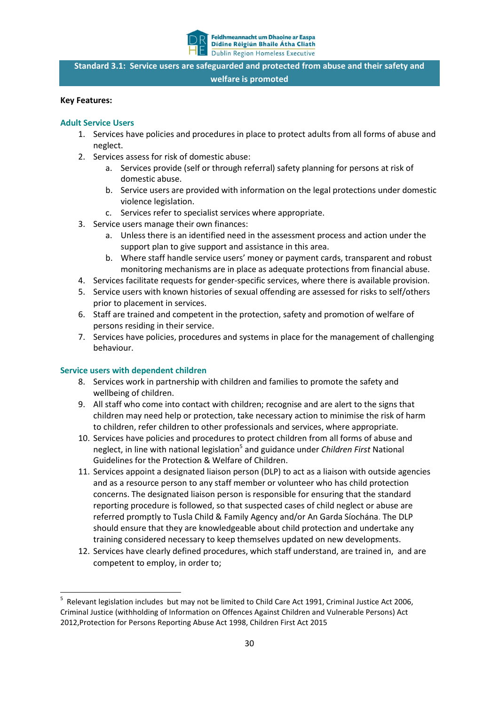

**Standard 3.1: Service users are safeguarded and protected from abuse and their safety and welfare is promoted**

#### **Key Features:**

#### **Adult Service Users**

- 1. Services have policies and procedures in place to protect adults from all forms of abuse and neglect.
- 2. Services assess for risk of domestic abuse:
	- a. Services provide (self or through referral) safety planning for persons at risk of domestic abuse.
	- b. Service users are provided with information on the legal protections under domestic violence legislation.
	- c. Services refer to specialist services where appropriate.
- 3. Service users manage their own finances:
	- a. Unless there is an identified need in the assessment process and action under the support plan to give support and assistance in this area.
	- b. Where staff handle service users' money or payment cards, transparent and robust monitoring mechanisms are in place as adequate protections from financial abuse.
- 4. Services facilitate requests for gender-specific services, where there is available provision.
- 5. Service users with known histories of sexual offending are assessed for risks to self/others prior to placement in services.
- 6. Staff are trained and competent in the protection, safety and promotion of welfare of persons residing in their service.
- 7. Services have policies, procedures and systems in place for the management of challenging behaviour.

#### **Service users with dependent children**

- 8. Services work in partnership with children and families to promote the safety and wellbeing of children.
- 9. All staff who come into contact with children; recognise and are alert to the signs that children may need help or protection, take necessary action to minimise the risk of harm to children, refer children to other professionals and services, where appropriate.
- 10. Services have policies and procedures to protect children from all forms of abuse and neglect, in line with national legislation<sup>5</sup> and guidance under *Children First* National Guidelines for the Protection & Welfare of Children.
- 11. Services appoint a designated liaison person (DLP) to act as a liaison with outside agencies and as a resource person to any staff member or volunteer who has child protection concerns. The designated liaison person is responsible for ensuring that the standard reporting procedure is followed, so that suspected cases of child neglect or abuse are referred promptly to Tusla Child & Family Agency and/or [An Garda Síochána](http://www.garda.ie/Stations/Default.aspx). The DLP should ensure that they are knowledgeable about child protection and undertake any training considered necessary to keep themselves updated on new developments.
- 12. Services have clearly defined procedures, which staff understand, are trained in, and are competent to employ, in order to;

<sup>-&</sup>lt;br>5 Relevant legislation includes but may not be limited to Child Care Act 1991, Criminal Justice Act 2006, Criminal Justice (withholding of Information on Offences Against Children and Vulnerable Persons) Act 2012,Protection for Persons Reporting Abuse Act 1998, Children First Act 2015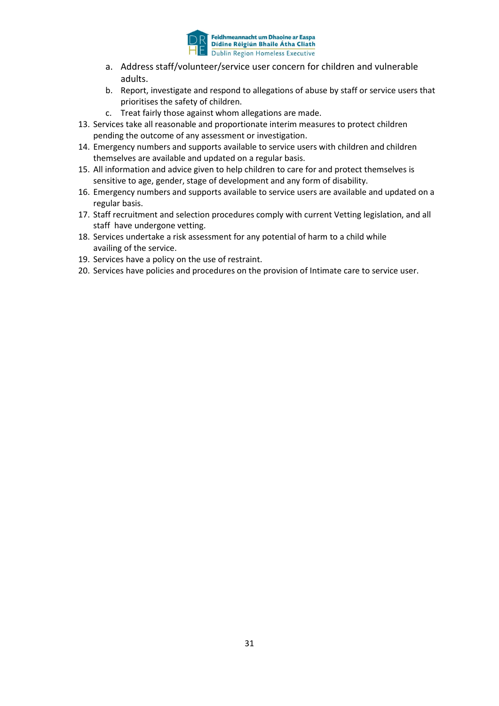

- a. Address staff/volunteer/service user concern for children and vulnerable adults.
- b. Report, investigate and respond to allegations of abuse by staff or service users that prioritises the safety of children.
- c. Treat fairly those against whom allegations are made.
- 13. Services take all reasonable and proportionate interim measures to protect children pending the outcome of any assessment or investigation.
- 14. Emergency numbers and supports available to service users with children and children themselves are available and updated on a regular basis.
- 15. All information and advice given to help children to care for and protect themselves is sensitive to age, gender, stage of development and any form of disability.
- 16. Emergency numbers and supports available to service users are available and updated on a regular basis.
- 17. Staff recruitment and selection procedures comply with current Vetting legislation, and all staff have undergone vetting.
- 18. Services undertake a risk assessment for any potential of harm to a child while availing of the service.
- 19. Services have a policy on the use of restraint.
- 20. Services have policies and procedures on the provision of Intimate care to service user.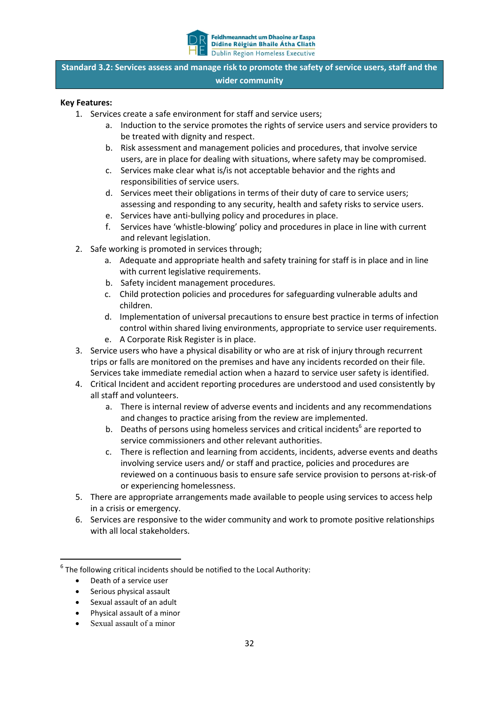

**Standard 3.2: Services assess and manage risk to promote the safety of service users, staff and the wider community**

- 1. Services create a safe environment for staff and service users;
	- a. Induction to the service promotes the rights of service users and service providers to be treated with dignity and respect.
	- b. Risk assessment and management policies and procedures, that involve service users, are in place for dealing with situations, where safety may be compromised.
	- c. Services make clear what is/is not acceptable behavior and the rights and responsibilities of service users.
	- d. Services meet their obligations in terms of their duty of care to service users; assessing and responding to any security, health and safety risks to service users.
	- e. Services have anti-bullying policy and procedures in place.
	- f. Services have 'whistle-blowing' policy and procedures in place in line with current and relevant legislation.
	- 2. Safe working is promoted in services through;
		- a. Adequate and appropriate health and safety training for staff is in place and in line with current legislative requirements.
		- b. Safety incident management procedures.
		- c. Child protection policies and procedures for safeguarding vulnerable adults and children.
		- d. Implementation of universal precautions to ensure best practice in terms of infection control within shared living environments, appropriate to service user requirements. e. A Corporate Risk Register is in place.
	- 3. Service users who have a physical disability or who are at risk of injury through recurrent trips or falls are monitored on the premises and have any incidents recorded on their file. Services take immediate remedial action when a hazard to service user safety is identified.
- 4. Critical Incident and accident reporting procedures are understood and used consistently by all staff and volunteers.
	- a. There is internal review of adverse events and incidents and any recommendations and changes to practice arising from the review are implemented.
	- b. Deaths of persons using homeless services and critical incidents<sup>6</sup> are reported to service commissioners and other relevant authorities.
	- c. There is reflection and learning from accidents, incidents, adverse events and deaths involving service users and/ or staff and practice, policies and procedures are reviewed on a continuous basis to ensure safe service provision to persons at-risk-of or experiencing homelessness.
- 5. There are appropriate arrangements made available to people using services to access help in a crisis or emergency.
- 6. Services are responsive to the wider community and work to promote positive relationships with all local stakeholders.

- Serious physical assault
- Sexual assault of an adult
- Physical assault of a minor
- Sexual assault of a minor

 $6$  The following critical incidents should be notified to the Local Authority:

Death of a service user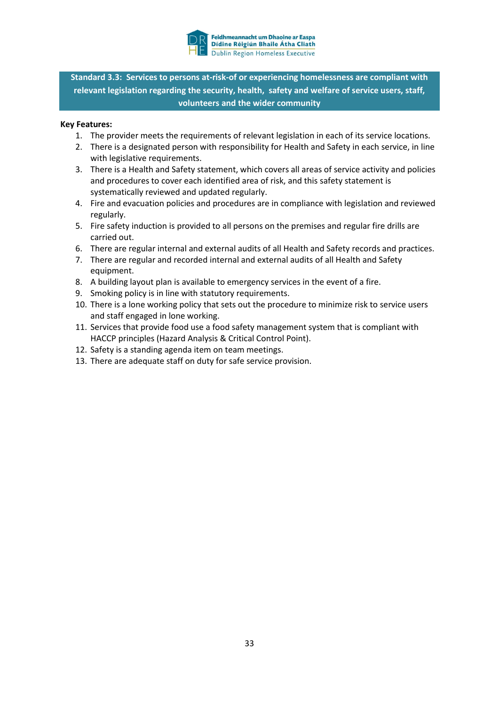

**Standard 3.3: Services to persons at-risk-of or experiencing homelessness are compliant with relevant legislation regarding the security, health, safety and welfare of service users, staff, volunteers and the wider community**

- 1. The provider meets the requirements of relevant legislation in each of its service locations.
- 2. There is a designated person with responsibility for Health and Safety in each service, in line with legislative requirements.
- 3. There is a Health and Safety statement, which covers all areas of service activity and policies and procedures to cover each identified area of risk, and this safety statement is systematically reviewed and updated regularly.
- 4. Fire and evacuation policies and procedures are in compliance with legislation and reviewed regularly.
- 5. Fire safety induction is provided to all persons on the premises and regular fire drills are carried out.
- 6. There are regular internal and external audits of all Health and Safety records and practices.
- 7. There are regular and recorded internal and external audits of all Health and Safety equipment.
- 8. A building layout plan is available to emergency services in the event of a fire.
- 9. Smoking policy is in line with statutory requirements.
- 10. There is a lone working policy that sets out the procedure to minimize risk to service users and staff engaged in lone working.
- 11. Services that provide food use a food safety management system that is compliant with HACCP principles (Hazard Analysis & Critical Control Point).
- 12. Safety is a standing agenda item on team meetings.
- 13. There are adequate staff on duty for safe service provision.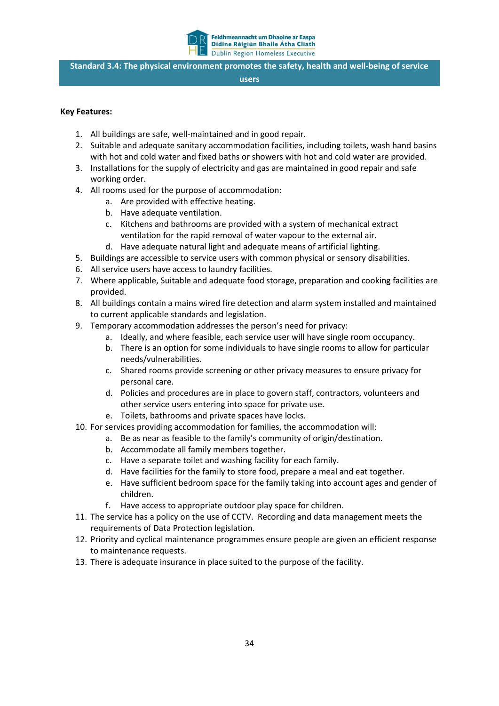

**Standard 3.4: The physical environment promotes the safety, health and well-being of service** 

#### **users**

- 1. All buildings are safe, well-maintained and in good repair.
- 2. Suitable and adequate sanitary accommodation facilities, including toilets, wash hand basins with hot and cold water and fixed baths or showers with hot and cold water are provided.
- 3. Installations for the supply of electricity and gas are maintained in good repair and safe working order.
- 4. All rooms used for the purpose of accommodation:
	- a. Are provided with effective heating.
	- b. Have adequate ventilation.
	- c. Kitchens and bathrooms are provided with a system of mechanical extract ventilation for the rapid removal of water vapour to the external air.
	- d. Have adequate natural light and adequate means of artificial lighting.
- 5. Buildings are accessible to service users with common physical or sensory disabilities.
- 6. All service users have access to laundry facilities.
- 7. Where applicable, Suitable and adequate food storage, preparation and cooking facilities are provided.
- 8. All buildings contain a mains wired fire detection and alarm system installed and maintained to current applicable standards and legislation.
- 9. Temporary accommodation addresses the person's need for privacy:
	- a. Ideally, and where feasible, each service user will have single room occupancy.
	- b. There is an option for some individuals to have single rooms to allow for particular needs/vulnerabilities.
	- c. Shared rooms provide screening or other privacy measures to ensure privacy for personal care.
	- d. Policies and procedures are in place to govern staff, contractors, volunteers and other service users entering into space for private use.
	- e. Toilets, bathrooms and private spaces have locks.
- 10. For services providing accommodation for families, the accommodation will:
	- a. Be as near as feasible to the family's community of origin/destination.
		- b. Accommodate all family members together.
		- c. Have a separate toilet and washing facility for each family.
		- d. Have facilities for the family to store food, prepare a meal and eat together.
		- e. Have sufficient bedroom space for the family taking into account ages and gender of children.
		- f. Have access to appropriate outdoor play space for children.
- 11. The service has a policy on the use of CCTV. Recording and data management meets the requirements of Data Protection legislation.
- 12. Priority and cyclical maintenance programmes ensure people are given an efficient response to maintenance requests.
- 13. There is adequate insurance in place suited to the purpose of the facility.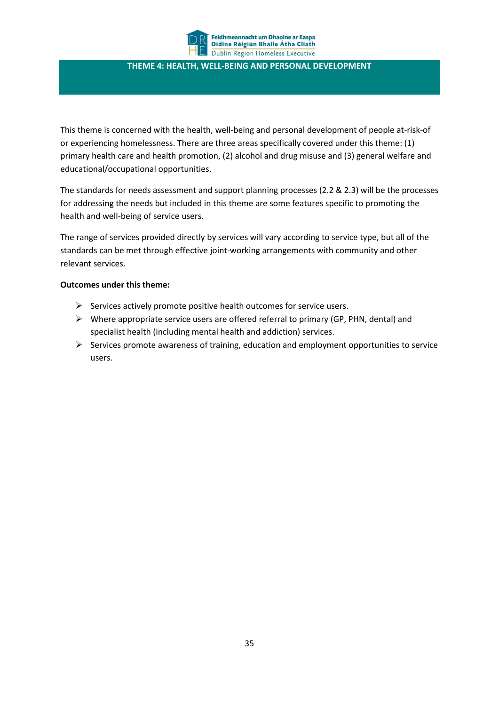

#### **THEME 4: HEALTH, WELL-BEING AND PERSONAL DEVELOPMENT**

This theme is concerned with the health, well-being and personal development of people at-risk-of or experiencing homelessness. There are three areas specifically covered under this theme: (1) primary health care and health promotion, (2) alcohol and drug misuse and (3) general welfare and educational/occupational opportunities.

The standards for needs assessment and support planning processes (2.2 & 2.3) will be the processes for addressing the needs but included in this theme are some features specific to promoting the health and well-being of service users.

The range of services provided directly by services will vary according to service type, but all of the standards can be met through effective joint-working arrangements with community and other relevant services.

#### **Outcomes under this theme:**

- $\triangleright$  Services actively promote positive health outcomes for service users.
- $\triangleright$  Where appropriate service users are offered referral to primary (GP, PHN, dental) and specialist health (including mental health and addiction) services.
- $\triangleright$  Services promote awareness of training, education and employment opportunities to service users.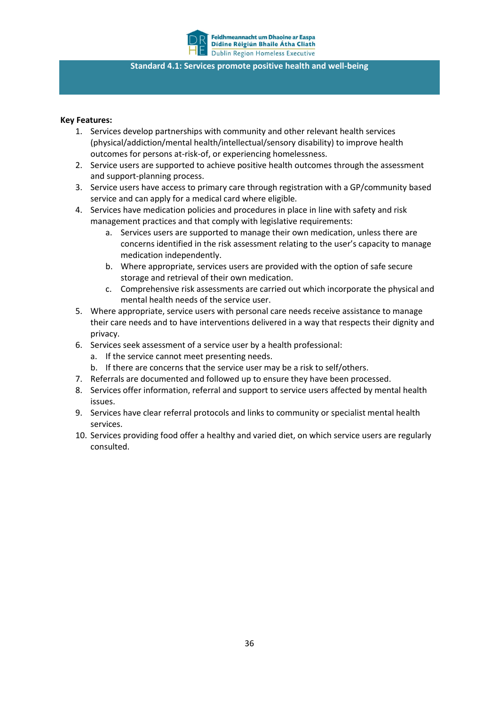

#### **Standard 4.1: Services promote positive health and well-being**

- 1. Services develop partnerships with community and other relevant health services (physical/addiction/mental health/intellectual/sensory disability) to improve health outcomes for persons at-risk-of, or experiencing homelessness.
- 2. Service users are supported to achieve positive health outcomes through the assessment and support-planning process.
- 3. Service users have access to primary care through registration with a GP/community based service and can apply for a medical card where eligible.
- 4. Services have medication policies and procedures in place in line with safety and risk management practices and that comply with legislative requirements:
	- a. Services users are supported to manage their own medication, unless there are concerns identified in the risk assessment relating to the user's capacity to manage medication independently.
	- b. Where appropriate, services users are provided with the option of safe secure storage and retrieval of their own medication.
	- c. Comprehensive risk assessments are carried out which incorporate the physical and mental health needs of the service user.
- 5. Where appropriate, service users with personal care needs receive assistance to manage their care needs and to have interventions delivered in a way that respects their dignity and privacy.
- 6. Services seek assessment of a service user by a health professional:
	- a. If the service cannot meet presenting needs.
	- b. If there are concerns that the service user may be a risk to self/others.
- 7. Referrals are documented and followed up to ensure they have been processed.
- 8. Services offer information, referral and support to service users affected by mental health issues.
- 9. Services have clear referral protocols and links to community or specialist mental health services.
- 10. Services providing food offer a healthy and varied diet, on which service users are regularly consulted.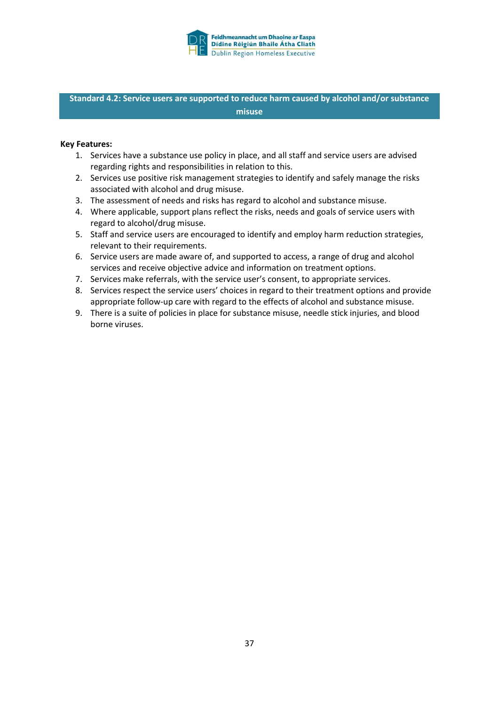

**Standard 4.2: Service users are supported to reduce harm caused by alcohol and/or substance misuse**

- 1. Services have a substance use policy in place, and all staff and service users are advised regarding rights and responsibilities in relation to this.
- 2. Services use positive risk management strategies to identify and safely manage the risks associated with alcohol and drug misuse.
- 3. The assessment of needs and risks has regard to alcohol and substance misuse.
- 4. Where applicable, support plans reflect the risks, needs and goals of service users with regard to alcohol/drug misuse.
- 5. Staff and service users are encouraged to identify and employ harm reduction strategies, relevant to their requirements.
- 6. Service users are made aware of, and supported to access, a range of drug and alcohol services and receive objective advice and information on treatment options.
- 7. Services make referrals, with the service user's consent, to appropriate services.
- 8. Services respect the service users' choices in regard to their treatment options and provide appropriate follow-up care with regard to the effects of alcohol and substance misuse.
- 9. There is a suite of policies in place for substance misuse, needle stick injuries, and blood borne viruses.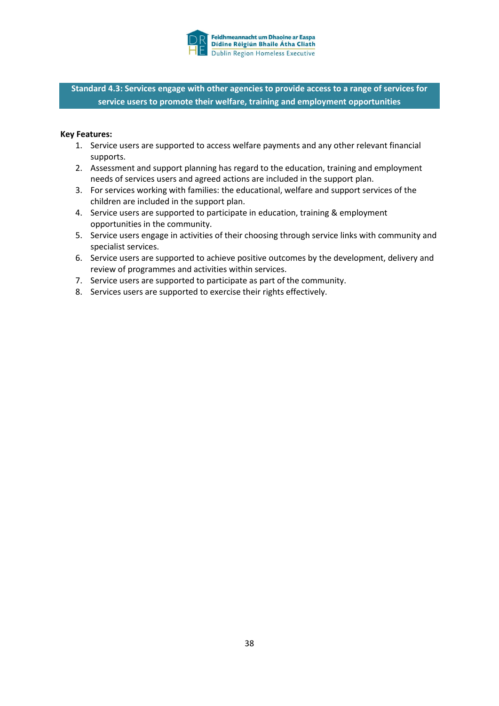

**Standard 4.3: Services engage with other agencies to provide access to a range of services for service users to promote their welfare, training and employment opportunities**

- 1. Service users are supported to access welfare payments and any other relevant financial supports.
- 2. Assessment and support planning has regard to the education, training and employment needs of services users and agreed actions are included in the support plan.
- 3. For services working with families: the educational, welfare and support services of the children are included in the support plan.
- 4. Service users are supported to participate in education, training & employment opportunities in the community.
- 5. Service users engage in activities of their choosing through service links with community and specialist services.
- 6. Service users are supported to achieve positive outcomes by the development, delivery and review of programmes and activities within services.
- 7. Service users are supported to participate as part of the community.
- 8. Services users are supported to exercise their rights effectively.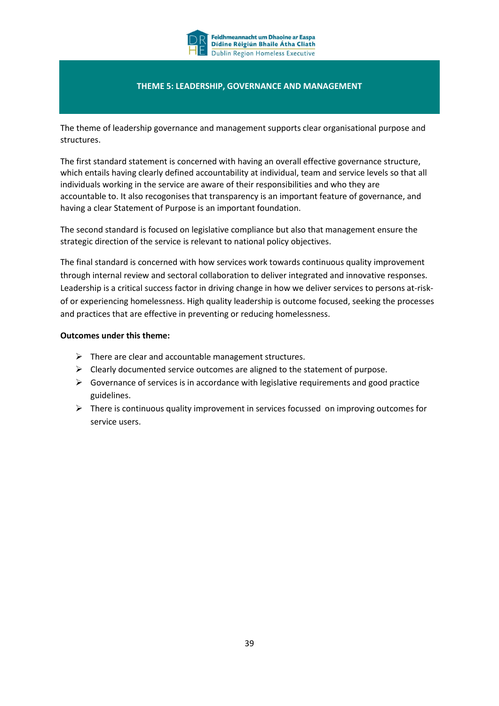

#### **THEME 5: LEADERSHIP, GOVERNANCE AND MANAGEMENT**

The theme of leadership governance and management supports clear organisational purpose and structures.

The first standard statement is concerned with having an overall effective governance structure, which entails having clearly defined accountability at individual, team and service levels so that all individuals working in the service are aware of their responsibilities and who they are accountable to. It also recogonises that transparency is an important feature of governance, and having a clear Statement of Purpose is an important foundation.

The second standard is focused on legislative compliance but also that management ensure the strategic direction of the service is relevant to national policy objectives.

The final standard is concerned with how services work towards continuous quality improvement through internal review and sectoral collaboration to deliver integrated and innovative responses. Leadership is a critical success factor in driving change in how we deliver services to persons at-riskof or experiencing homelessness. High quality leadership is outcome focused, seeking the processes and practices that are effective in preventing or reducing homelessness.

#### **Outcomes under this theme:**

- $\triangleright$  There are clear and accountable management structures.
- $\triangleright$  Clearly documented service outcomes are aligned to the statement of purpose.
- $\triangleright$  Governance of services is in accordance with legislative requirements and good practice guidelines.
- $\triangleright$  There is continuous quality improvement in services focussed on improving outcomes for service users.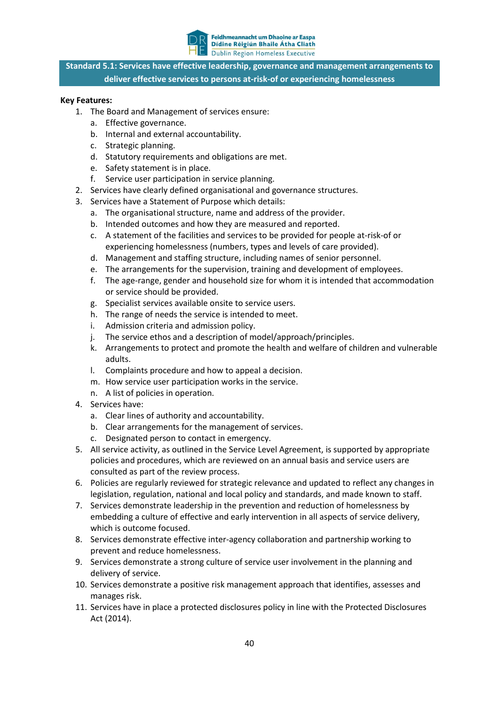

**Standard 5.1: Services have effective leadership, governance and management arrangements to deliver effective services to persons at-risk-of or experiencing homelessness**

- 1. The Board and Management of services ensure:
	- a. Effective governance.
	- b. Internal and external accountability.
	- c. Strategic planning.
	- d. Statutory requirements and obligations are met.
	- e. Safety statement is in place.
	- f. Service user participation in service planning.
- 2. Services have clearly defined organisational and governance structures.
- 3. Services have a Statement of Purpose which details:
	- a. The organisational structure, name and address of the provider.
	- b. Intended outcomes and how they are measured and reported.
	- c. A statement of the facilities and services to be provided for people at-risk-of or experiencing homelessness (numbers, types and levels of care provided).
	- d. Management and staffing structure, including names of senior personnel.
	- e. The arrangements for the supervision, training and development of employees.
	- f. The age-range, gender and household size for whom it is intended that accommodation or service should be provided.
	- g. Specialist services available onsite to service users.
	- h. The range of needs the service is intended to meet.
	- i. Admission criteria and admission policy.
	- j. The service ethos and a description of model/approach/principles.
	- k. Arrangements to protect and promote the health and welfare of children and vulnerable adults.
	- l. Complaints procedure and how to appeal a decision.
	- m. How service user participation works in the service.
	- n. A list of policies in operation.
- 4. Services have:
	- a. Clear lines of authority and accountability.
	- b. Clear arrangements for the management of services.
	- c. Designated person to contact in emergency.
- 5. All service activity, as outlined in the Service Level Agreement, is supported by appropriate policies and procedures, which are reviewed on an annual basis and service users are consulted as part of the review process.
- 6. Policies are regularly reviewed for strategic relevance and updated to reflect any changes in legislation, regulation, national and local policy and standards, and made known to staff.
- 7. Services demonstrate leadership in the prevention and reduction of homelessness by embedding a culture of effective and early intervention in all aspects of service delivery, which is outcome focused.
- 8. Services demonstrate effective inter-agency collaboration and partnership working to prevent and reduce homelessness.
- 9. Services demonstrate a strong culture of service user involvement in the planning and delivery of service.
- 10. Services demonstrate a positive risk management approach that identifies, assesses and manages risk.
- 11. Services have in place a protected disclosures policy in line with the Protected Disclosures Act (2014).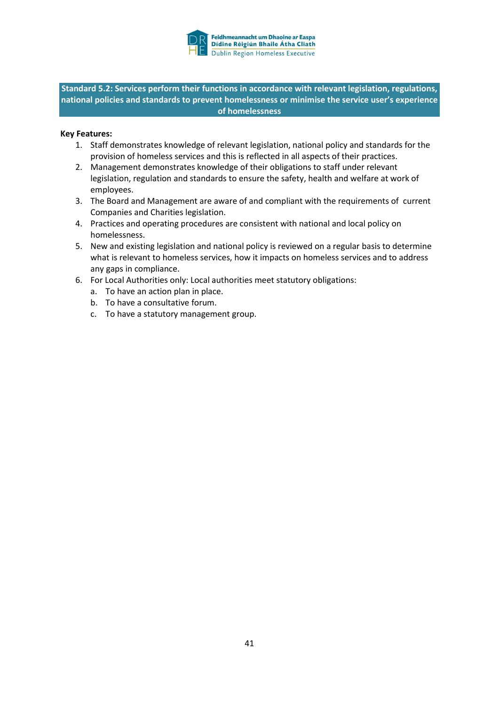

**Standard 5.2: Services perform their functions in accordance with relevant legislation, regulations, national policies and standards to prevent homelessness or minimise the service user's experience of homelessness**

- 1. Staff demonstrates knowledge of relevant legislation, national policy and standards for the provision of homeless services and this is reflected in all aspects of their practices.
- 2. Management demonstrates knowledge of their obligations to staff under relevant legislation, regulation and standards to ensure the safety, health and welfare at work of employees.
- 3. The Board and Management are aware of and compliant with the requirements of current Companies and Charities legislation.
- 4. Practices and operating procedures are consistent with national and local policy on homelessness.
- 5. New and existing legislation and national policy is reviewed on a regular basis to determine what is relevant to homeless services, how it impacts on homeless services and to address any gaps in compliance.
- 6. For Local Authorities only: Local authorities meet statutory obligations:
	- a. To have an action plan in place.
	- b. To have a consultative forum.
	- c. To have a statutory management group.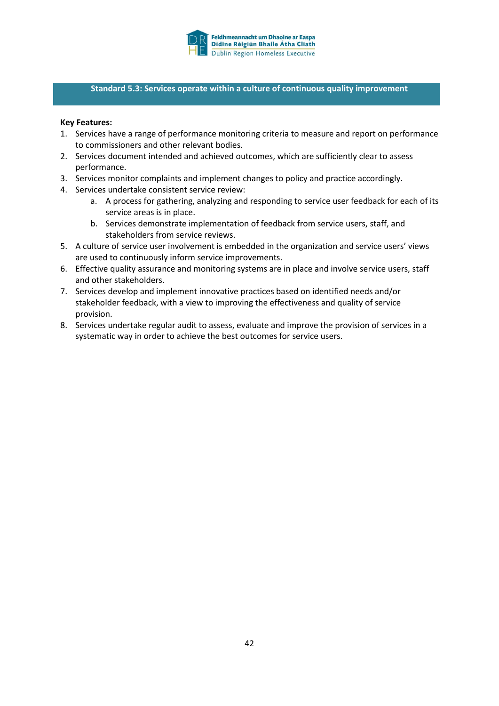

#### **Standard 5.3: Services operate within a culture of continuous quality improvement**

- 1. Services have a range of performance monitoring criteria to measure and report on performance to commissioners and other relevant bodies.
- 2. Services document intended and achieved outcomes, which are sufficiently clear to assess performance.
- 3. Services monitor complaints and implement changes to policy and practice accordingly.
- 4. Services undertake consistent service review:
	- a. A process for gathering, analyzing and responding to service user feedback for each of its service areas is in place.
	- b. Services demonstrate implementation of feedback from service users, staff, and stakeholders from service reviews.
- 5. A culture of service user involvement is embedded in the organization and service users' views are used to continuously inform service improvements.
- 6. Effective quality assurance and monitoring systems are in place and involve service users, staff and other stakeholders.
- 7. Services develop and implement innovative practices based on identified needs and/or stakeholder feedback, with a view to improving the effectiveness and quality of service provision.
- 8. Services undertake regular audit to assess, evaluate and improve the provision of services in a systematic way in order to achieve the best outcomes for service users.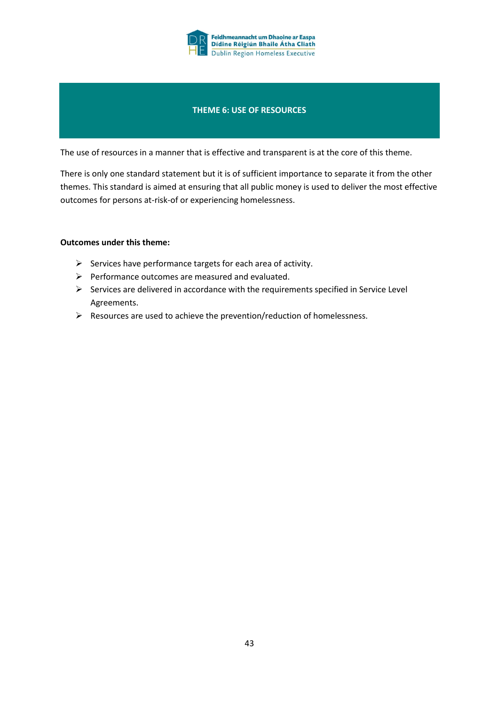

#### **THEME 6: USE OF RESOURCES**

The use of resources in a manner that is effective and transparent is at the core of this theme.

There is only one standard statement but it is of sufficient importance to separate it from the other themes. This standard is aimed at ensuring that all public money is used to deliver the most effective outcomes for persons at-risk-of or experiencing homelessness.

#### **Outcomes under this theme:**

- $\triangleright$  Services have performance targets for each area of activity.
- $\triangleright$  Performance outcomes are measured and evaluated.
- $\triangleright$  Services are delivered in accordance with the requirements specified in Service Level Agreements.
- $\triangleright$  Resources are used to achieve the prevention/reduction of homelessness.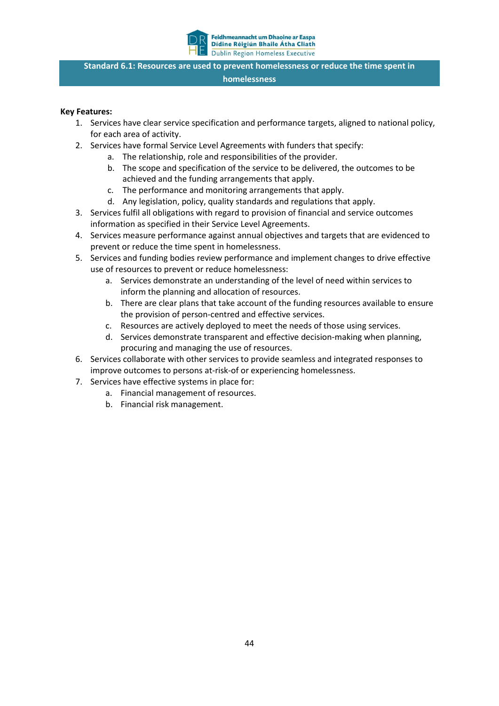

**Standard 6.1: Resources are used to prevent homelessness or reduce the time spent in homelessness**

- 1. Services have clear service specification and performance targets, aligned to national policy, for each area of activity.
- 2. Services have formal Service Level Agreements with funders that specify:
	- a. The relationship, role and responsibilities of the provider.
		- b. The scope and specification of the service to be delivered, the outcomes to be achieved and the funding arrangements that apply.
		- c. The performance and monitoring arrangements that apply.
		- d. Any legislation, policy, quality standards and regulations that apply.
- 3. Services fulfil all obligations with regard to provision of financial and service outcomes information as specified in their Service Level Agreements.
- 4. Services measure performance against annual objectives and targets that are evidenced to prevent or reduce the time spent in homelessness.
- 5. Services and funding bodies review performance and implement changes to drive effective use of resources to prevent or reduce homelessness:
	- a. Services demonstrate an understanding of the level of need within services to inform the planning and allocation of resources.
	- b. There are clear plans that take account of the funding resources available to ensure the provision of person-centred and effective services.
	- c. Resources are actively deployed to meet the needs of those using services.
	- d. Services demonstrate transparent and effective decision-making when planning, procuring and managing the use of resources.
- 6. Services collaborate with other services to provide seamless and integrated responses to improve outcomes to persons at-risk-of or experiencing homelessness.
- 7. Services have effective systems in place for:
	- a. Financial management of resources.
	- b. Financial risk management.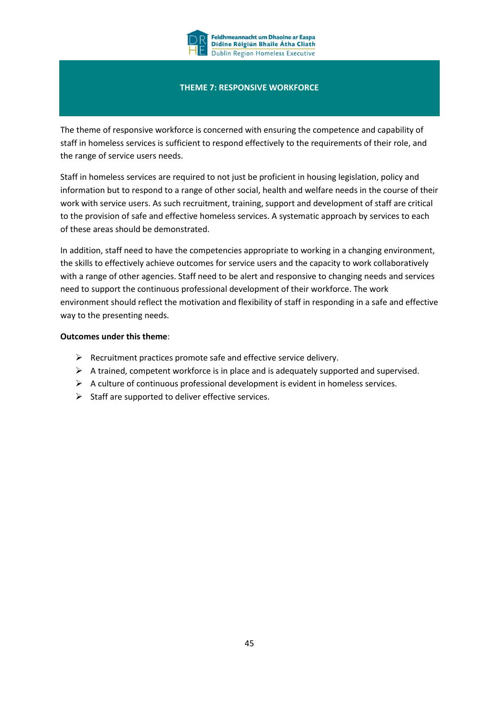

#### **THEME 7: RESPONSIVE WORKFORCE**

The theme of responsive workforce is concerned with ensuring the competence and capability of staff in homeless services is sufficient to respond effectively to the requirements of their role, and the range of service users needs.

Staff in homeless services are required to not just be proficient in housing legislation, policy and information but to respond to a range of other social, health and welfare needs in the course of their work with service users. As such recruitment, training, support and development of staff are critical to the provision of safe and effective homeless services. A systematic approach by services to each of these areas should be demonstrated.

In addition, staff need to have the competencies appropriate to working in a changing environment, the skills to effectively achieve outcomes for service users and the capacity to work collaboratively with a range of other agencies. Staff need to be alert and responsive to changing needs and services need to support the continuous professional development of their workforce. The work environment should reflect the motivation and flexibility of staff in responding in a safe and effective way to the presenting needs.

#### **Outcomes under this theme**:

- $\triangleright$  Recruitment practices promote safe and effective service delivery.
- $\triangleright$  A trained, competent workforce is in place and is adequately supported and supervised.
- $\triangleright$  A culture of continuous professional development is evident in homeless services.
- $\triangleright$  Staff are supported to deliver effective services.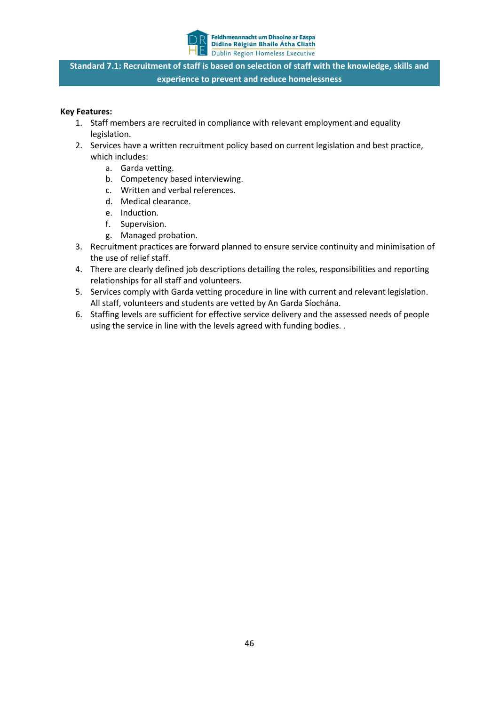

**Standard 7.1: Recruitment of staff is based on selection of staff with the knowledge, skills and experience to prevent and reduce homelessness**

- 1. Staff members are recruited in compliance with relevant employment and equality legislation.
- 2. Services have a written recruitment policy based on current legislation and best practice, which includes:
	- a. Garda vetting.
	- b. Competency based interviewing.
	- c. Written and verbal references.
	- d. Medical clearance.
	- e. Induction.
	- f. Supervision.
	- g. Managed probation.
- 3. Recruitment practices are forward planned to ensure service continuity and minimisation of the use of relief staff.
- 4. There are clearly defined job descriptions detailing the roles, responsibilities and reporting relationships for all staff and volunteers.
- 5. Services comply with Garda vetting procedure in line with current and relevant legislation. All staff, volunteers and students are vetted by An Garda Síochána.
- 6. Staffing levels are sufficient for effective service delivery and the assessed needs of people using the service in line with the levels agreed with funding bodies. .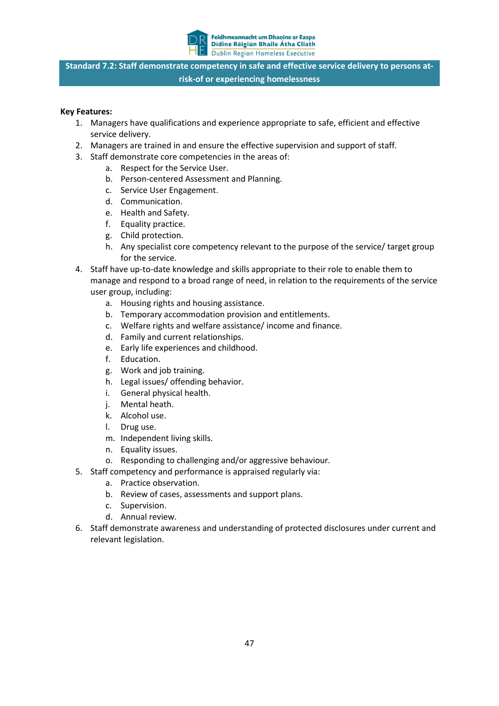

**Standard 7.2: Staff demonstrate competency in safe and effective service delivery to persons atrisk-of or experiencing homelessness**

- 1. Managers have qualifications and experience appropriate to safe, efficient and effective service delivery.
- 2. Managers are trained in and ensure the effective supervision and support of staff.
- 3. Staff demonstrate core competencies in the areas of:
	- a. Respect for the Service User.
	- b. Person-centered Assessment and Planning.
	- c. Service User Engagement.
	- d. Communication.
	- e. Health and Safety.
	- f. Equality practice.
	- g. Child protection.
	- h. Any specialist core competency relevant to the purpose of the service/ target group for the service.
- 4. Staff have up-to-date knowledge and skills appropriate to their role to enable them to manage and respond to a broad range of need, in relation to the requirements of the service user group, including:
	- a. Housing rights and housing assistance.
	- b. Temporary accommodation provision and entitlements.
	- c. Welfare rights and welfare assistance/ income and finance.
	- d. Family and current relationships.
	- e. Early life experiences and childhood.
	- f. Education.
	- g. Work and job training.
	- h. Legal issues/ offending behavior.
	- i. General physical health.
	- j. Mental heath.
	- k. Alcohol use.
	- l. Drug use.
	- m. Independent living skills.
	- n. Equality issues.
	- o. Responding to challenging and/or aggressive behaviour.
- 5. Staff competency and performance is appraised regularly via:
	- a. Practice observation.
	- b. Review of cases, assessments and support plans.
	- c. Supervision.
	- d. Annual review.
- 6. Staff demonstrate awareness and understanding of protected disclosures under current and relevant legislation.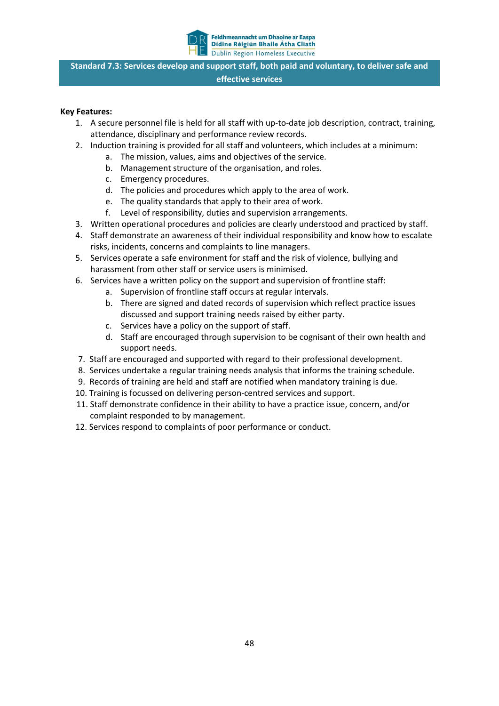

**Standard 7.3: Services develop and support staff, both paid and voluntary, to deliver safe and effective services**

- 1. A secure personnel file is held for all staff with up-to-date job description, contract, training, attendance, disciplinary and performance review records.
- 2. Induction training is provided for all staff and volunteers, which includes at a minimum:
	- a. The mission, values, aims and objectives of the service.
	- b. Management structure of the organisation, and roles.
	- c. Emergency procedures.
	- d. The policies and procedures which apply to the area of work.
	- e. The quality standards that apply to their area of work.
	- f. Level of responsibility, duties and supervision arrangements.
- 3. Written operational procedures and policies are clearly understood and practiced by staff.
- 4. Staff demonstrate an awareness of their individual responsibility and know how to escalate risks, incidents, concerns and complaints to line managers.
- 5. Services operate a safe environment for staff and the risk of violence, bullying and harassment from other staff or service users is minimised.
- 6. Services have a written policy on the support and supervision of frontline staff:
	- a. Supervision of frontline staff occurs at regular intervals.
	- b. There are signed and dated records of supervision which reflect practice issues discussed and support training needs raised by either party.
	- c. Services have a policy on the support of staff.
	- d. Staff are encouraged through supervision to be cognisant of their own health and support needs.
- 7. Staff are encouraged and supported with regard to their professional development.
- 8. Services undertake a regular training needs analysis that informs the training schedule.
- 9. Records of training are held and staff are notified when mandatory training is due.
- 10. Training is focussed on delivering person-centred services and support.
- 11. Staff demonstrate confidence in their ability to have a practice issue, concern, and/or complaint responded to by management.
- 12. Services respond to complaints of poor performance or conduct.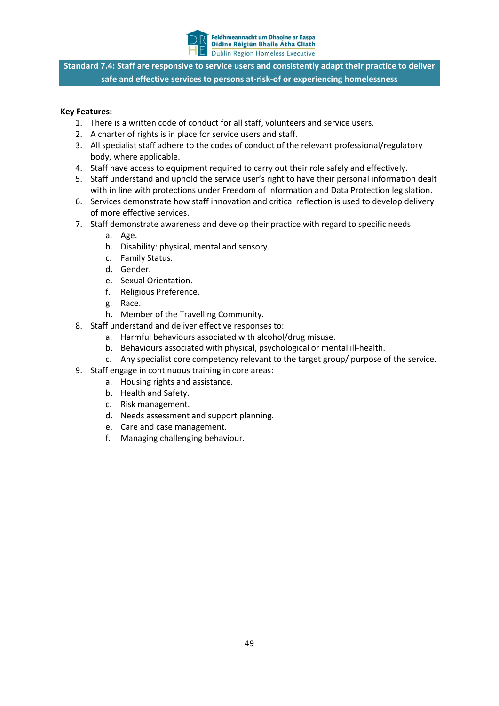

**Standard 7.4: Staff are responsive to service users and consistently adapt their practice to deliver safe and effective services to persons at-risk-of or experiencing homelessness**

- 1. There is a written code of conduct for all staff, volunteers and service users.
- 2. A charter of rights is in place for service users and staff.
- 3. All specialist staff adhere to the codes of conduct of the relevant professional/regulatory body, where applicable.
- 4. Staff have access to equipment required to carry out their role safely and effectively.
- 5. Staff understand and uphold the service user's right to have their personal information dealt with in line with protections under Freedom of Information and Data Protection legislation.
- 6. Services demonstrate how staff innovation and critical reflection is used to develop delivery of more effective services.
- 7. Staff demonstrate awareness and develop their practice with regard to specific needs:
	- a. Age.
	- b. Disability: physical, mental and sensory.
	- c. Family Status.
	- d. Gender.
	- e. Sexual Orientation.
	- f. Religious Preference.
	- g. Race.
	- h. Member of the Travelling Community.
- 8. Staff understand and deliver effective responses to:
	- a. Harmful behaviours associated with alcohol/drug misuse.
	- b. Behaviours associated with physical, psychological or mental ill-health.
	- c. Any specialist core competency relevant to the target group/ purpose of the service.
- 9. Staff engage in continuous training in core areas:
	- a. Housing rights and assistance.
	- b. Health and Safety.
	- c. Risk management.
	- d. Needs assessment and support planning.
	- e. Care and case management.
	- f. Managing challenging behaviour.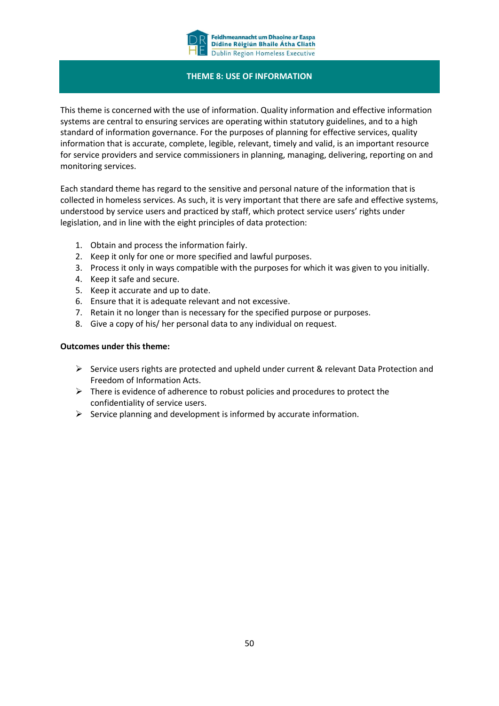

#### **THEME 8: USE OF INFORMATION**

This theme is concerned with the use of information. Quality information and effective information systems are central to ensuring services are operating within statutory guidelines, and to a high standard of information governance. For the purposes of planning for effective services, quality information that is accurate, complete, legible, relevant, timely and valid, is an important resource for service providers and service commissioners in planning, managing, delivering, reporting on and monitoring services.

Each standard theme has regard to the sensitive and personal nature of the information that is collected in homeless services. As such, it is very important that there are safe and effective systems, understood by service users and practiced by staff, which protect service users' rights under legislation, and in line with the eight principles of data protection:

- 1. Obtain and process the information fairly.
- 2. Keep it only for one or more specified and lawful purposes.
- 3. Process it only in ways compatible with the purposes for which it was given to you initially.
- 4. Keep it safe and secure.
- 5. Keep it accurate and up to date.
- 6. Ensure that it is adequate relevant and not excessive.
- 7. Retain it no longer than is necessary for the specified purpose or purposes.
- 8. Give a copy of his/ her personal data to any individual on request.

#### **Outcomes under this theme:**

- $\triangleright$  Service users rights are protected and upheld under current & relevant Data Protection and Freedom of Information Acts.
- $\triangleright$  There is evidence of adherence to robust policies and procedures to protect the confidentiality of service users.
- $\triangleright$  Service planning and development is informed by accurate information.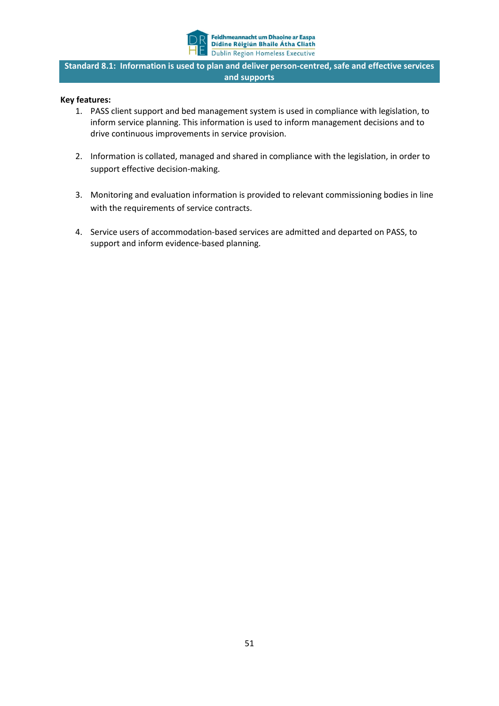

**Standard 8.1: Information is used to plan and deliver person-centred, safe and effective services and supports**

- 1. PASS client support and bed management system is used in compliance with legislation, to inform service planning. This information is used to inform management decisions and to drive continuous improvements in service provision.
- 2. Information is collated, managed and shared in compliance with the legislation, in order to support effective decision-making.
- 3. Monitoring and evaluation information is provided to relevant commissioning bodies in line with the requirements of service contracts.
- 4. Service users of accommodation-based services are admitted and departed on PASS, to support and inform evidence-based planning.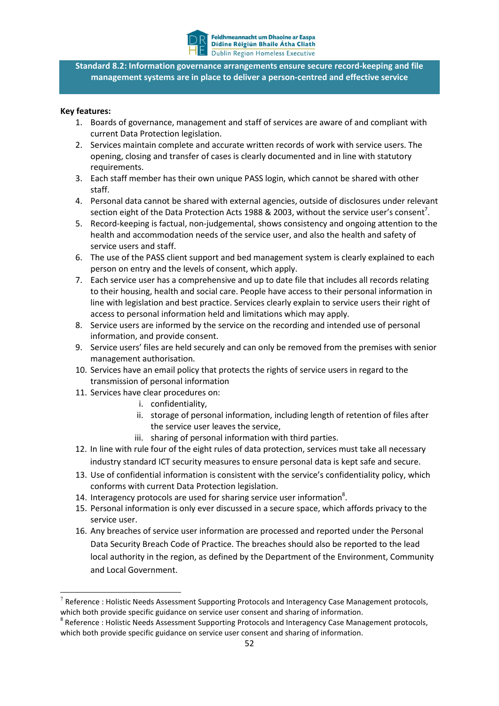

**Standard 8.2: Information governance arrangements ensure secure record-keeping and file management systems are in place to deliver a person-centred and effective service**

#### **Key features:**

**.** 

- 1. Boards of governance, management and staff of services are aware of and compliant with current Data Protection legislation.
- 2. Services maintain complete and accurate written records of work with service users. The opening, closing and transfer of cases is clearly documented and in line with statutory requirements.
- 3. Each staff member has their own unique PASS login, which cannot be shared with other staff.
- 4. Personal data cannot be shared with external agencies, outside of disclosures under relevant section eight of the Data Protection Acts 1988 & 2003, without the service user's consent<sup>7</sup>.
- 5. Record-keeping is factual, non-judgemental, shows consistency and ongoing attention to the health and accommodation needs of the service user, and also the health and safety of service users and staff.
- 6. The use of the PASS client support and bed management system is clearly explained to each person on entry and the levels of consent, which apply.
- 7. Each service user has a comprehensive and up to date file that includes all records relating to their housing, health and social care. People have access to their personal information in line with legislation and best practice. Services clearly explain to service users their right of access to personal information held and limitations which may apply.
- 8. Service users are informed by the service on the recording and intended use of personal information, and provide consent.
- 9. Service users' files are held securely and can only be removed from the premises with senior management authorisation.
- 10. Services have an email policy that protects the rights of service users in regard to the transmission of personal information
- 11. Services have clear procedures on:
	- i. confidentiality,
	- ii. storage of personal information, including length of retention of files after the service user leaves the service,
	- iii. sharing of personal information with third parties.
- 12. In line with rule four of the eight rules of data protection, services must take all necessary industry standard ICT security measures to ensure personal data is kept safe and secure.
- 13. Use of confidential information is consistent with the service's confidentiality policy, which conforms with current Data Protection legislation.
- 14. Interagency protocols are used for sharing service user information<sup>8</sup>.
- 15. Personal information is only ever discussed in a secure space, which affords privacy to the service user.
- 16. Any breaches of service user information are processed and reported under the Personal Data Security Breach Code of Practice. The breaches should also be reported to the lead local authority in the region, as defined by the Department of the Environment, Community and Local Government.

Reference : Holistic Needs Assessment Supporting Protocols and Interagency Case Management protocols, which both provide specific guidance on service user consent and sharing of information.

<sup>&</sup>lt;sup>8</sup> Reference : Holistic Needs Assessment Supporting Protocols and Interagency Case Management protocols, which both provide specific guidance on service user consent and sharing of information.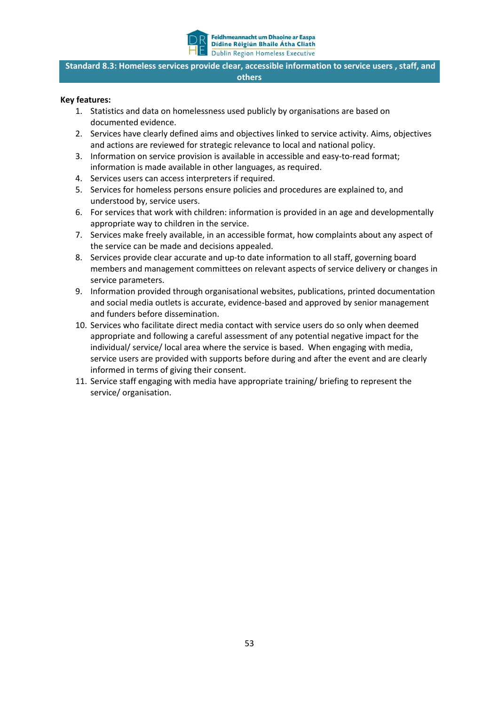

**Standard 8.3: Homeless services provide clear, accessible information to service users , staff, and others**

- 1. Statistics and data on homelessness used publicly by organisations are based on documented evidence.
- 2. Services have clearly defined aims and objectives linked to service activity. Aims, objectives and actions are reviewed for strategic relevance to local and national policy.
- 3. Information on service provision is available in accessible and easy-to-read format; information is made available in other languages, as required.
- 4. Services users can access interpreters if required.
- 5. Services for homeless persons ensure policies and procedures are explained to, and understood by, service users.
- 6. For services that work with children: information is provided in an age and developmentally appropriate way to children in the service.
- 7. Services make freely available, in an accessible format, how complaints about any aspect of the service can be made and decisions appealed.
- 8. Services provide clear accurate and up-to date information to all staff, governing board members and management committees on relevant aspects of service delivery or changes in service parameters.
- 9. Information provided through organisational websites, publications, printed documentation and social media outlets is accurate, evidence-based and approved by senior management and funders before dissemination.
- 10. Services who facilitate direct media contact with service users do so only when deemed appropriate and following a careful assessment of any potential negative impact for the individual/ service/ local area where the service is based. When engaging with media, service users are provided with supports before during and after the event and are clearly informed in terms of giving their consent.
- 11. Service staff engaging with media have appropriate training/ briefing to represent the service/ organisation.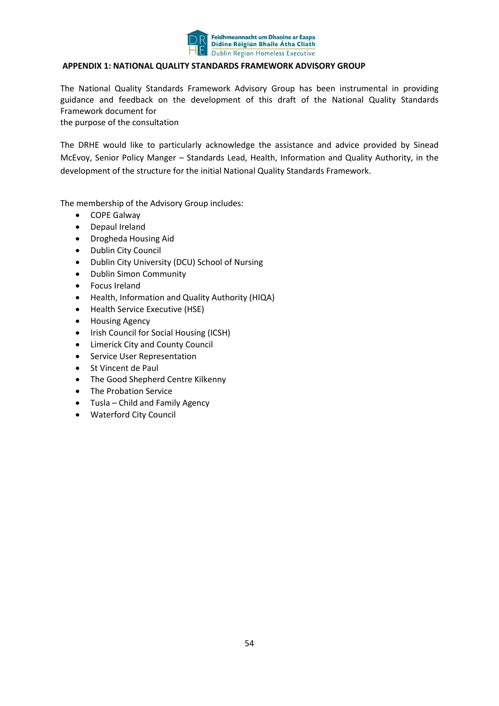

#### **APPENDIX 1: NATIONAL QUALITY STANDARDS FRAMEWORK ADVISORY GROUP**

The National Quality Standards Framework Advisory Group has been instrumental in providing guidance and feedback on the development of this draft of the National Quality Standards Framework document for

the purpose of the consultation

The DRHE would like to particularly acknowledge the assistance and advice provided by Sinead McEvoy, Senior Policy Manger – Standards Lead, Health, Information and Quality Authority, in the development of the structure for the initial National Quality Standards Framework.

The membership of the Advisory Group includes:

- COPE Galway
- Depaul Ireland
- Drogheda Housing Aid
- Dublin City Council
- Dublin City University (DCU) School of Nursing
- Dublin Simon Community
- Focus Ireland
- Health, Information and Quality Authority (HIQA)
- Health Service Executive (HSE)
- **•** Housing Agency
- Irish Council for Social Housing (ICSH)
- Limerick City and County Council
- **•** Service User Representation
- St Vincent de Paul
- The Good Shepherd Centre Kilkenny
- The Probation Service
- Tusla Child and Family Agency
- Waterford City Council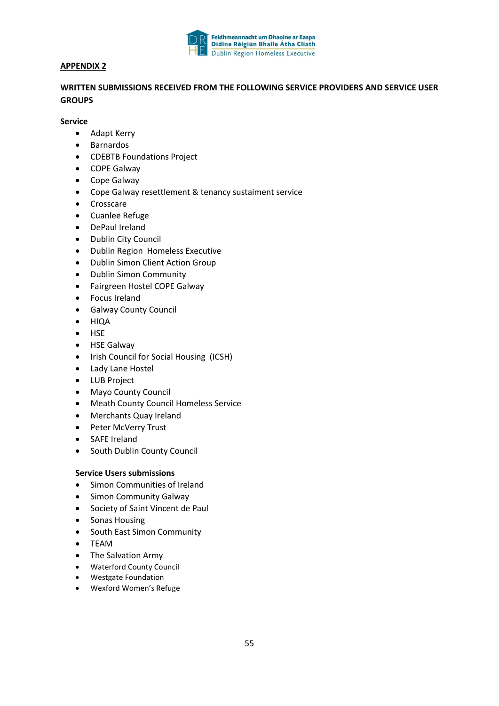

#### **APPENDIX 2**

#### **WRITTEN SUBMISSIONS RECEIVED FROM THE FOLLOWING SERVICE PROVIDERS AND SERVICE USER GROUPS**

#### **Service**

- Adapt Kerry
- Barnardos
- CDEBTB Foundations Project
- COPE Galway
- Cope Galway
- Cope Galway resettlement & tenancy sustaiment service
- Crosscare
- Cuanlee Refuge
- DePaul Ireland
- Dublin City Council
- Dublin Region Homeless Executive
- Dublin Simon Client Action Group
- Dublin Simon Community
- Fairgreen Hostel COPE Galway
- Focus Ireland
- Galway County Council
- HIQA
- HSE
- HSE Galway
- Irish Council for Social Housing (ICSH)
- Lady Lane Hostel
- LUB Project
- Mayo County Council
- Meath County Council Homeless Service
- Merchants Quay Ireland
- Peter McVerry Trust
- SAFE Ireland
- South Dublin County Council

#### **Service Users submissions**

- Simon Communities of Ireland
- Simon Community Galway
- Society of Saint Vincent de Paul
- Sonas Housing
- South East Simon Community
- TEAM
- The Salvation Army
- Waterford County Council
- Westgate Foundation
- Wexford Women's Refuge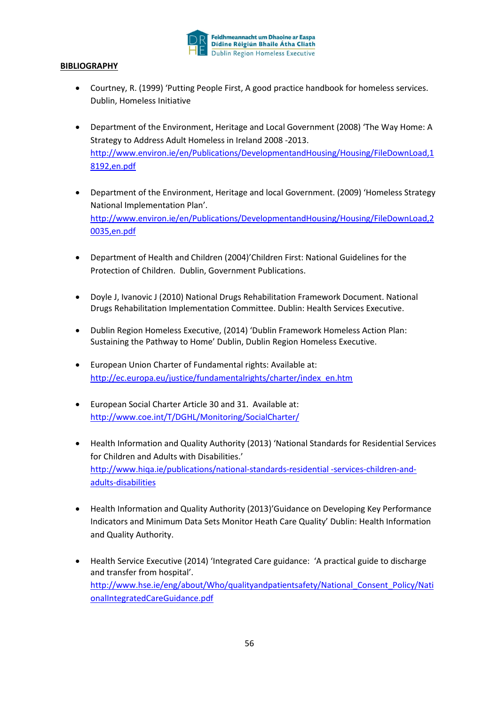

#### **BIBLIOGRAPHY**

- Courtney, R. (1999) 'Putting People First, A good practice handbook for homeless services. Dublin, Homeless Initiative
- Department of the Environment, Heritage and Local Government (2008) 'The Way Home: A Strategy to Address Adult Homeless in Ireland 2008 -2013. [http://www.environ.ie/en/Publications/DevelopmentandHousing/Housing/FileDownLoad,1](http://www.environ.ie/en/Publications/DevelopmentandHousing/Housing/FileDownLoad,18192,en.pdf) [8192,en.pdf](http://www.environ.ie/en/Publications/DevelopmentandHousing/Housing/FileDownLoad,18192,en.pdf)
- Department of the Environment, Heritage and local Government. (2009) 'Homeless Strategy National Implementation Plan'. [http://www.environ.ie/en/Publications/DevelopmentandHousing/Housing/FileDownLoad,2](http://www.environ.ie/en/Publications/DevelopmentandHousing/Housing/FileDownLoad,20035,en.pdf) [0035,en.pdf](http://www.environ.ie/en/Publications/DevelopmentandHousing/Housing/FileDownLoad,20035,en.pdf)
- Department of Health and Children (2004)'Children First: National Guidelines for the Protection of Children. Dublin, Government Publications.
- Doyle J, Ivanovic J (2010) National Drugs Rehabilitation Framework Document. National Drugs Rehabilitation Implementation Committee. Dublin: Health Services Executive.
- Dublin Region Homeless Executive, (2014) 'Dublin Framework Homeless Action Plan: Sustaining the Pathway to Home' Dublin, Dublin Region Homeless Executive.
- European Union Charter of Fundamental rights: Available at: [http://ec.europa.eu/justice/fundamentalrights/charter/index\\_en.htm](http://ec.europa.eu/justice/fundamentalrights/charter/index_en.htm)
- European Social Charter Article 30 and 31. Available at: <http://www.coe.int/T/DGHL/Monitoring/SocialCharter/>
- Health Information and Quality Authority (2013) 'National Standards for Residential Services for Children and Adults with Disabilities.' [http://www.hiqa.ie/publications/national-standards-residential -services-children-and](http://www.hiqa.ie/publications/national-standards-residential -services-children-and-adults-disabilities)[adults-disabilities](http://www.hiqa.ie/publications/national-standards-residential -services-children-and-adults-disabilities)
- Health Information and Quality Authority (2013)'Guidance on Developing Key Performance Indicators and Minimum Data Sets Monitor Heath Care Quality' Dublin: Health Information and Quality Authority.
- Health Service Executive (2014) 'Integrated Care guidance: 'A practical guide to discharge and transfer from hospital'. [http://www.hse.ie/eng/about/Who/qualityandpatientsafety/National\\_Consent\\_Policy/Nati](http://www.hse.ie/eng/about/Who/qualityandpatientsafety/National_Consent_Policy/NationalIntegratedCareGuidance.pdf) [onalIntegratedCareGuidance.pdf](http://www.hse.ie/eng/about/Who/qualityandpatientsafety/National_Consent_Policy/NationalIntegratedCareGuidance.pdf)